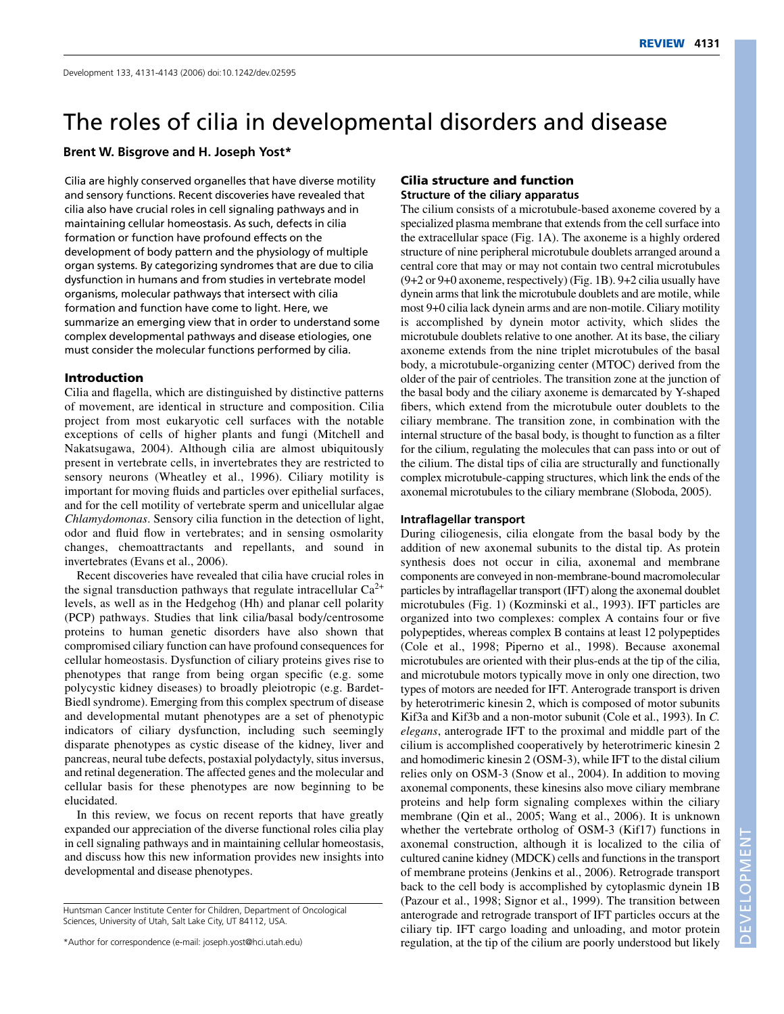# The roles of cilia in developmental disorders and disease

#### **Brent W. Bisgrove and H. Joseph Yost\***

Cilia are highly conserved organelles that have diverse motility and sensory functions. Recent discoveries have revealed that cilia also have crucial roles in cell signaling pathways and in maintaining cellular homeostasis. As such, defects in cilia formation or function have profound effects on the development of body pattern and the physiology of multiple organ systems. By categorizing syndromes that are due to cilia dysfunction in humans and from studies in vertebrate model organisms, molecular pathways that intersect with cilia formation and function have come to light. Here, we summarize an emerging view that in order to understand some complex developmental pathways and disease etiologies, one must consider the molecular functions performed by cilia.

#### **Introduction**

Cilia and flagella, which are distinguished by distinctive patterns of movement, are identical in structure and composition. Cilia project from most eukaryotic cell surfaces with the notable exceptions of cells of higher plants and fungi (Mitchell and Nakatsugawa, 2004). Although cilia are almost ubiquitously present in vertebrate cells, in invertebrates they are restricted to sensory neurons (Wheatley et al., 1996). Ciliary motility is important for moving fluids and particles over epithelial surfaces, and for the cell motility of vertebrate sperm and unicellular algae *Chlamydomonas*. Sensory cilia function in the detection of light, odor and fluid flow in vertebrates; and in sensing osmolarity changes, chemoattractants and repellants, and sound in invertebrates (Evans et al., 2006).

Recent discoveries have revealed that cilia have crucial roles in the signal transduction pathways that regulate intracellular  $Ca^{2+}$ levels, as well as in the Hedgehog (Hh) and planar cell polarity (PCP) pathways. Studies that link cilia/basal body/centrosome proteins to human genetic disorders have also shown that compromised ciliary function can have profound consequences for cellular homeostasis. Dysfunction of ciliary proteins gives rise to phenotypes that range from being organ specific (e.g. some polycystic kidney diseases) to broadly pleiotropic (e.g. Bardet-Biedl syndrome). Emerging from this complex spectrum of disease and developmental mutant phenotypes are a set of phenotypic indicators of ciliary dysfunction, including such seemingly disparate phenotypes as cystic disease of the kidney, liver and pancreas, neural tube defects, postaxial polydactyly, situs inversus, and retinal degeneration. The affected genes and the molecular and cellular basis for these phenotypes are now beginning to be elucidated.

In this review, we focus on recent reports that have greatly expanded our appreciation of the diverse functional roles cilia play in cell signaling pathways and in maintaining cellular homeostasis, and discuss how this new information provides new insights into developmental and disease phenotypes.

#### **Cilia structure and function Structure of the ciliary apparatus**

The cilium consists of a microtubule-based axoneme covered by a specialized plasma membrane that extends from the cell surface into the extracellular space (Fig. 1A). The axoneme is a highly ordered structure of nine peripheral microtubule doublets arranged around a central core that may or may not contain two central microtubules (9+2 or 9+0 axoneme, respectively) (Fig. 1B). 9+2 cilia usually have dynein arms that link the microtubule doublets and are motile, while most 9+0 cilia lack dynein arms and are non-motile. Ciliary motility is accomplished by dynein motor activity, which slides the microtubule doublets relative to one another. At its base, the ciliary axoneme extends from the nine triplet microtubules of the basal body, a microtubule-organizing center (MTOC) derived from the older of the pair of centrioles. The transition zone at the junction of the basal body and the ciliary axoneme is demarcated by Y-shaped fibers, which extend from the microtubule outer doublets to the ciliary membrane. The transition zone, in combination with the internal structure of the basal body, is thought to function as a filter for the cilium, regulating the molecules that can pass into or out of the cilium. The distal tips of cilia are structurally and functionally complex microtubule-capping structures, which link the ends of the axonemal microtubules to the ciliary membrane (Sloboda, 2005).

#### **Intraflagellar transport**

During ciliogenesis, cilia elongate from the basal body by the addition of new axonemal subunits to the distal tip. As protein synthesis does not occur in cilia, axonemal and membrane components are conveyed in non-membrane-bound macromolecular particles by intraflagellar transport (IFT) along the axonemal doublet microtubules (Fig. 1) (Kozminski et al., 1993). IFT particles are organized into two complexes: complex A contains four or five polypeptides, whereas complex B contains at least 12 polypeptides (Cole et al., 1998; Piperno et al., 1998). Because axonemal microtubules are oriented with their plus-ends at the tip of the cilia, and microtubule motors typically move in only one direction, two types of motors are needed for IFT. Anterograde transport is driven by heterotrimeric kinesin 2, which is composed of motor subunits Kif3a and Kif3b and a non-motor subunit (Cole et al., 1993). In *C. elegans*, anterograde IFT to the proximal and middle part of the cilium is accomplished cooperatively by heterotrimeric kinesin 2 and homodimeric kinesin 2 (OSM-3), while IFT to the distal cilium relies only on OSM-3 (Snow et al., 2004). In addition to moving axonemal components, these kinesins also move ciliary membrane proteins and help form signaling complexes within the ciliary membrane (Qin et al., 2005; Wang et al., 2006). It is unknown whether the vertebrate ortholog of OSM-3 (Kif17) functions in axonemal construction, although it is localized to the cilia of cultured canine kidney (MDCK) cells and functions in the transport of membrane proteins (Jenkins et al., 2006). Retrograde transport back to the cell body is accomplished by cytoplasmic dynein 1B (Pazour et al., 1998; Signor et al., 1999). The transition between anterograde and retrograde transport of IFT particles occurs at the ciliary tip. IFT cargo loading and unloading, and motor protein regulation, at the tip of the cilium are poorly understood but likely

Huntsman Cancer Institute Center for Children, Department of Oncological Sciences, University of Utah, Salt Lake City, UT 84112, USA.

<sup>\*</sup>Author for correspondence (e-mail: joseph.yost@hci.utah.edu)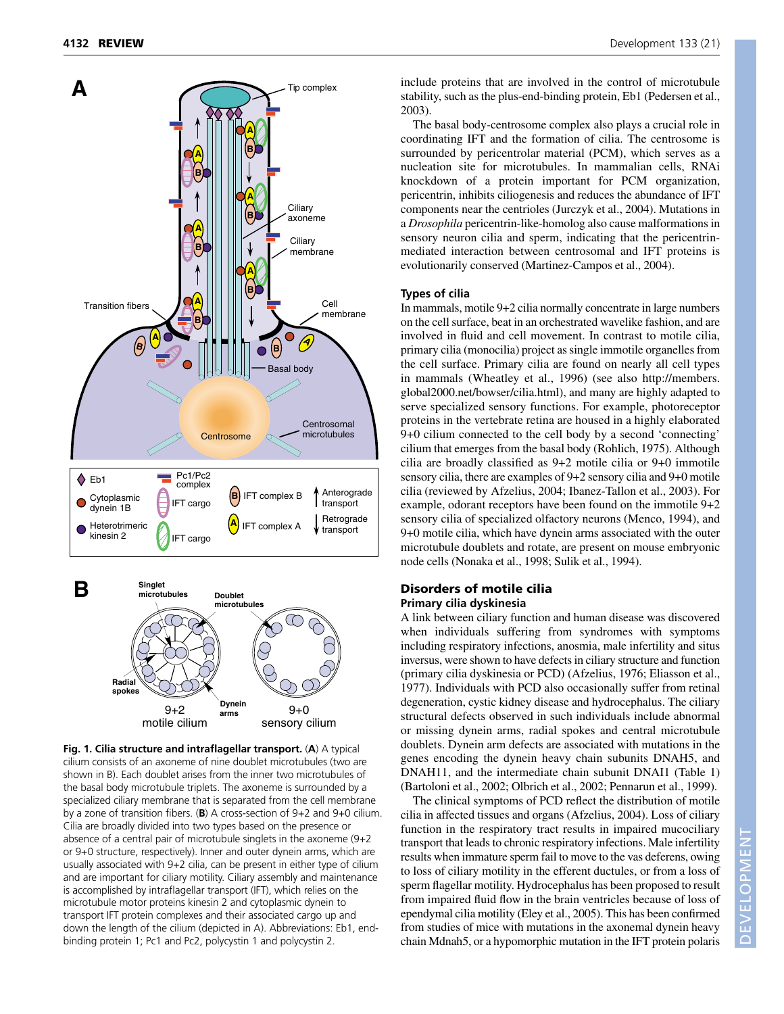

 $9 + 2$ motile cilium  $9 + 0$ sensory cilium **Radial spokes Dynein arms**

**Fig. 1. Cilia structure and intraflagellar transport.** (**A**) A typical cilium consists of an axoneme of nine doublet microtubules (two are shown in B). Each doublet arises from the inner two microtubules of the basal body microtubule triplets. The axoneme is surrounded by a specialized ciliary membrane that is separated from the cell membrane by a zone of transition fibers. (**B**) A cross-section of 9+2 and 9+0 cilium. Cilia are broadly divided into two types based on the presence or absence of a central pair of microtubule singlets in the axoneme (9+2 or 9+0 structure, respectively). Inner and outer dynein arms, which are usually associated with 9+2 cilia, can be present in either type of cilium and are important for ciliary motility. Ciliary assembly and maintenance is accomplished by intraflagellar transport (IFT), which relies on the microtubule motor proteins kinesin 2 and cytoplasmic dynein to transport IFT protein complexes and their associated cargo up and down the length of the cilium (depicted in A). Abbreviations: Eb1, endbinding protein 1; Pc1 and Pc2, polycystin 1 and polycystin 2.

include proteins that are involved in the control of microtubule stability, such as the plus-end-binding protein, Eb1 (Pedersen et al., 2003).

The basal body-centrosome complex also plays a crucial role in coordinating IFT and the formation of cilia. The centrosome is surrounded by pericentrolar material (PCM), which serves as a nucleation site for microtubules. In mammalian cells, RNAi knockdown of a protein important for PCM organization, pericentrin, inhibits ciliogenesis and reduces the abundance of IFT components near the centrioles (Jurczyk et al., 2004). Mutations in a *Drosophila* pericentrin-like-homolog also cause malformations in sensory neuron cilia and sperm, indicating that the pericentrinmediated interaction between centrosomal and IFT proteins is evolutionarily conserved (Martinez-Campos et al., 2004).

#### **Types of cilia**

In mammals, motile 9+2 cilia normally concentrate in large numbers on the cell surface, beat in an orchestrated wavelike fashion, and are involved in fluid and cell movement. In contrast to motile cilia, primary cilia (monocilia) project as single immotile organelles from the cell surface. Primary cilia are found on nearly all cell types in mammals (Wheatley et al., 1996) (see also http://members. global2000.net/bowser/cilia.html), and many are highly adapted to serve specialized sensory functions. For example, photoreceptor proteins in the vertebrate retina are housed in a highly elaborated 9+0 cilium connected to the cell body by a second 'connecting' cilium that emerges from the basal body (Rohlich, 1975). Although cilia are broadly classified as 9+2 motile cilia or 9+0 immotile sensory cilia, there are examples of 9+2 sensory cilia and 9+0 motile cilia (reviewed by Afzelius, 2004; Ibanez-Tallon et al., 2003). For example, odorant receptors have been found on the immotile 9+2 sensory cilia of specialized olfactory neurons (Menco, 1994), and 9+0 motile cilia, which have dynein arms associated with the outer microtubule doublets and rotate, are present on mouse embryonic node cells (Nonaka et al., 1998; Sulik et al., 1994).

#### **Disorders of motile cilia Primary cilia dyskinesia**

A link between ciliary function and human disease was discovered when individuals suffering from syndromes with symptoms including respiratory infections, anosmia, male infertility and situs inversus, were shown to have defects in ciliary structure and function (primary cilia dyskinesia or PCD) (Afzelius, 1976; Eliasson et al., 1977). Individuals with PCD also occasionally suffer from retinal degeneration, cystic kidney disease and hydrocephalus. The ciliary structural defects observed in such individuals include abnormal or missing dynein arms, radial spokes and central microtubule doublets. Dynein arm defects are associated with mutations in the genes encoding the dynein heavy chain subunits DNAH5, and DNAH11, and the intermediate chain subunit DNAI1 (Table 1) (Bartoloni et al., 2002; Olbrich et al., 2002; Pennarun et al., 1999).

The clinical symptoms of PCD reflect the distribution of motile cilia in affected tissues and organs (Afzelius, 2004). Loss of ciliary function in the respiratory tract results in impaired mucociliary transport that leads to chronic respiratory infections. Male infertility results when immature sperm fail to move to the vas deferens, owing to loss of ciliary motility in the efferent ductules, or from a loss of sperm flagellar motility. Hydrocephalus has been proposed to result from impaired fluid flow in the brain ventricles because of loss of ependymal cilia motility (Eley et al., 2005). This has been confirmed from studies of mice with mutations in the axonemal dynein heavy chain Mdnah5, or a hypomorphic mutation in the IFT protein polaris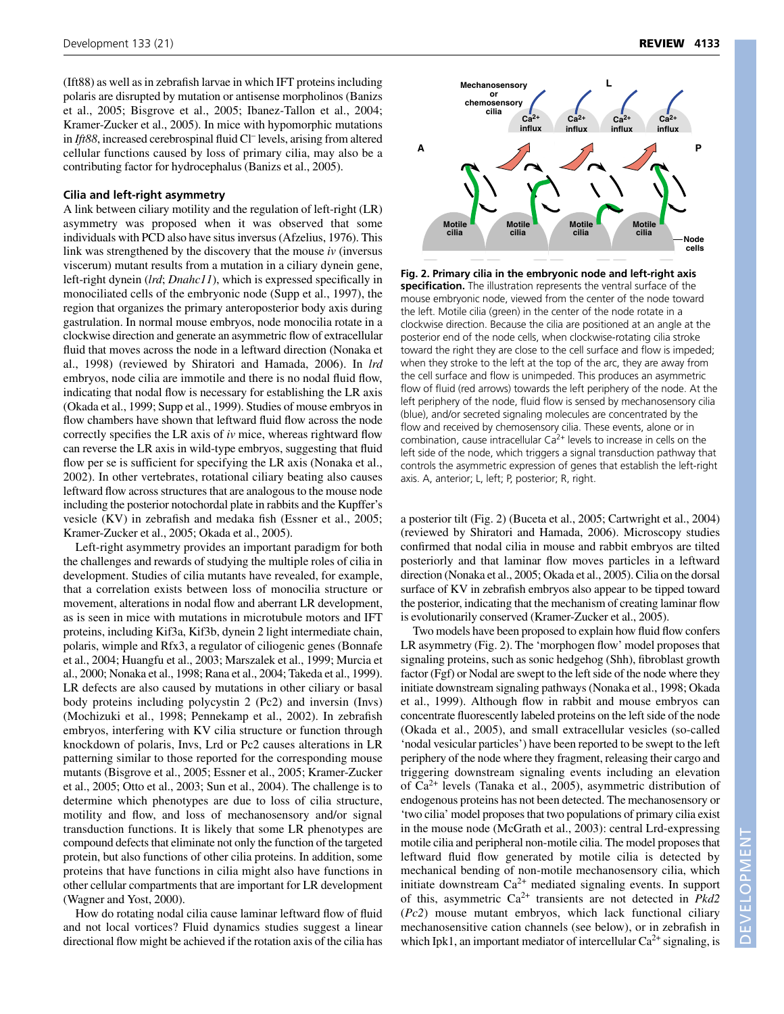(Ift88) as well as in zebrafish larvae in which IFT proteins including polaris are disrupted by mutation or antisense morpholinos (Banizs et al., 2005; Bisgrove et al., 2005; Ibanez-Tallon et al., 2004; Kramer-Zucker et al., 2005). In mice with hypomorphic mutations in *Ift88*, increased cerebrospinal fluid Cl– levels, arising from altered cellular functions caused by loss of primary cilia, may also be a contributing factor for hydrocephalus (Banizs et al., 2005).

#### **Cilia and left-right asymmetry**

A link between ciliary motility and the regulation of left-right (LR) asymmetry was proposed when it was observed that some individuals with PCD also have situs inversus (Afzelius, 1976). This link was strengthened by the discovery that the mouse *iv* (inversus viscerum) mutant results from a mutation in a ciliary dynein gene, left-right dynein (*lrd*; *Dnahc11*), which is expressed specifically in monociliated cells of the embryonic node (Supp et al., 1997), the region that organizes the primary anteroposterior body axis during gastrulation. In normal mouse embryos, node monocilia rotate in a clockwise direction and generate an asymmetric flow of extracellular fluid that moves across the node in a leftward direction (Nonaka et al., 1998) (reviewed by Shiratori and Hamada, 2006). In *lrd* embryos, node cilia are immotile and there is no nodal fluid flow, indicating that nodal flow is necessary for establishing the LR axis (Okada et al., 1999; Supp et al., 1999). Studies of mouse embryos in flow chambers have shown that leftward fluid flow across the node correctly specifies the LR axis of *iv* mice, whereas rightward flow can reverse the LR axis in wild-type embryos, suggesting that fluid flow per se is sufficient for specifying the LR axis (Nonaka et al., 2002). In other vertebrates, rotational ciliary beating also causes leftward flow across structures that are analogous to the mouse node including the posterior notochordal plate in rabbits and the Kupffer's vesicle (KV) in zebrafish and medaka fish (Essner et al., 2005; Kramer-Zucker et al., 2005; Okada et al., 2005).

Left-right asymmetry provides an important paradigm for both the challenges and rewards of studying the multiple roles of cilia in development. Studies of cilia mutants have revealed, for example, that a correlation exists between loss of monocilia structure or movement, alterations in nodal flow and aberrant LR development, as is seen in mice with mutations in microtubule motors and IFT proteins, including Kif3a, Kif3b, dynein 2 light intermediate chain, polaris, wimple and Rfx3, a regulator of ciliogenic genes (Bonnafe et al., 2004; Huangfu et al., 2003; Marszalek et al., 1999; Murcia et al., 2000; Nonaka et al., 1998; Rana et al., 2004; Takeda et al., 1999). LR defects are also caused by mutations in other ciliary or basal body proteins including polycystin 2 (Pc2) and inversin (Invs) (Mochizuki et al., 1998; Pennekamp et al., 2002). In zebrafish embryos, interfering with KV cilia structure or function through knockdown of polaris, Invs, Lrd or Pc2 causes alterations in LR patterning similar to those reported for the corresponding mouse mutants (Bisgrove et al., 2005; Essner et al., 2005; Kramer-Zucker et al., 2005; Otto et al., 2003; Sun et al., 2004). The challenge is to determine which phenotypes are due to loss of cilia structure, motility and flow, and loss of mechanosensory and/or signal transduction functions. It is likely that some LR phenotypes are compound defects that eliminate not only the function of the targeted protein, but also functions of other cilia proteins. In addition, some proteins that have functions in cilia might also have functions in other cellular compartments that are important for LR development (Wagner and Yost, 2000).

How do rotating nodal cilia cause laminar leftward flow of fluid and not local vortices? Fluid dynamics studies suggest a linear directional flow might be achieved if the rotation axis of the cilia has



**Fig. 2. Primary cilia in the embryonic node and left-right axis specification.** The illustration represents the ventral surface of the mouse embryonic node, viewed from the center of the node toward the left. Motile cilia (green) in the center of the node rotate in a clockwise direction. Because the cilia are positioned at an angle at the posterior end of the node cells, when clockwise-rotating cilia stroke toward the right they are close to the cell surface and flow is impeded; when they stroke to the left at the top of the arc, they are away from the cell surface and flow is unimpeded. This produces an asymmetric flow of fluid (red arrows) towards the left periphery of the node. At the left periphery of the node, fluid flow is sensed by mechanosensory cilia (blue), and/or secreted signaling molecules are concentrated by the flow and received by chemosensory cilia. These events, alone or in combination, cause intracellular  $Ca^{2+}$  levels to increase in cells on the left side of the node, which triggers a signal transduction pathway that controls the asymmetric expression of genes that establish the left-right axis. A, anterior; L, left; P, posterior; R, right.

a posterior tilt (Fig. 2) (Buceta et al., 2005; Cartwright et al., 2004) (reviewed by Shiratori and Hamada, 2006). Microscopy studies confirmed that nodal cilia in mouse and rabbit embryos are tilted posteriorly and that laminar flow moves particles in a leftward direction (Nonaka et al., 2005; Okada et al., 2005). Cilia on the dorsal surface of KV in zebrafish embryos also appear to be tipped toward the posterior, indicating that the mechanism of creating laminar flow is evolutionarily conserved (Kramer-Zucker et al., 2005).

Two models have been proposed to explain how fluid flow confers LR asymmetry (Fig. 2). The 'morphogen flow' model proposes that signaling proteins, such as sonic hedgehog (Shh), fibroblast growth factor (Fgf) or Nodal are swept to the left side of the node where they initiate downstream signaling pathways (Nonaka et al., 1998; Okada et al., 1999). Although flow in rabbit and mouse embryos can concentrate fluorescently labeled proteins on the left side of the node (Okada et al., 2005), and small extracellular vesicles (so-called 'nodal vesicular particles') have been reported to be swept to the left periphery of the node where they fragment, releasing their cargo and triggering downstream signaling events including an elevation of  $Ca^{2+}$  levels (Tanaka et al., 2005), asymmetric distribution of endogenous proteins has not been detected. The mechanosensory or 'two cilia' model proposes that two populations of primary cilia exist in the mouse node (McGrath et al., 2003): central Lrd-expressing motile cilia and peripheral non-motile cilia. The model proposes that leftward fluid flow generated by motile cilia is detected by mechanical bending of non-motile mechanosensory cilia, which initiate downstream  $Ca^{2+}$  mediated signaling events. In support of this, asymmetric Ca2+ transients are not detected in *Pkd2* (*Pc2*) mouse mutant embryos, which lack functional ciliary mechanosensitive cation channels (see below), or in zebrafish in which Ipk1, an important mediator of intercellular  $Ca^{2+}$  signaling, is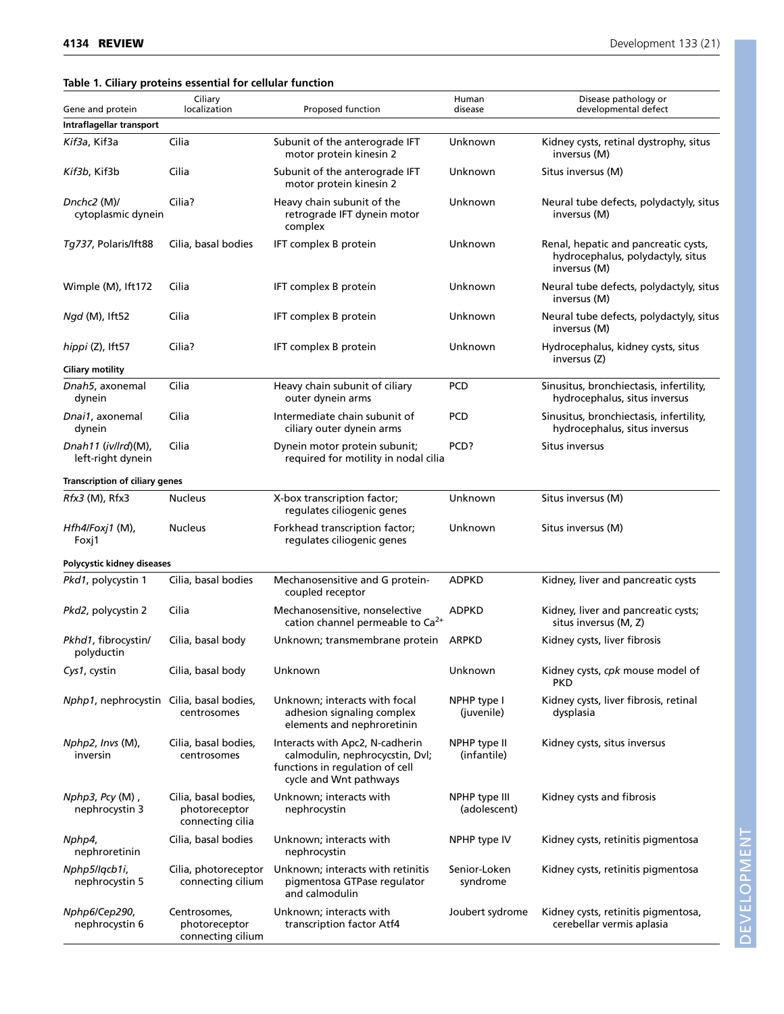# **Table 1. Ciliary proteins essential for cellular function**

| Gene and protein                         | Ciliary<br>localization                                   | Proposed function                                                                                                               | Human<br>disease              | Disease pathology or<br>developmental defect                                              |
|------------------------------------------|-----------------------------------------------------------|---------------------------------------------------------------------------------------------------------------------------------|-------------------------------|-------------------------------------------------------------------------------------------|
| Intraflagellar transport                 |                                                           |                                                                                                                                 |                               |                                                                                           |
| Kif3a, Kif3a                             | Cilia                                                     | Subunit of the anterograde IFT<br>motor protein kinesin 2                                                                       | Unknown                       | Kidney cysts, retinal dystrophy, situs<br>inversus (M)                                    |
| Kif3b, Kif3b                             | Cilia                                                     | Subunit of the anterograde IFT<br>motor protein kinesin 2                                                                       | Unknown                       | Situs inversus (M)                                                                        |
| Dnchc2 (M)/<br>cytoplasmic dynein        | Cilia?                                                    | Heavy chain subunit of the<br>retrograde IFT dynein motor<br>complex                                                            | Unknown                       | Neural tube defects, polydactyly, situs<br>inversus (M)                                   |
| Tg737, Polaris/Ift88                     | Cilia, basal bodies                                       | IFT complex B protein                                                                                                           | Unknown                       | Renal, hepatic and pancreatic cysts,<br>hydrocephalus, polydactyly, situs<br>inversus (M) |
| Wimple (M), Ift172                       | Cilia                                                     | IFT complex B protein                                                                                                           | Unknown                       | Neural tube defects, polydactyly, situs<br>inversus (M)                                   |
| <i>Ngd</i> (M), Ift52                    | Cilia                                                     | IFT complex B protein                                                                                                           | Unknown                       | Neural tube defects, polydactyly, situs<br>inversus (M)                                   |
| hippi (Z), Ift57                         | Cilia?                                                    | IFT complex B protein                                                                                                           | Unknown                       | Hydrocephalus, kidney cysts, situs<br>inversus (Z)                                        |
| <b>Ciliary motility</b>                  |                                                           |                                                                                                                                 |                               |                                                                                           |
| Dnah5, axonemal<br>dynein                | Cilia                                                     | Heavy chain subunit of ciliary<br>outer dynein arms                                                                             | <b>PCD</b>                    | Sinusitus, bronchiectasis, infertility,<br>hydrocephalus, situs inversus                  |
| Dnai1, axonemal<br>dynein                | Cilia                                                     | Intermediate chain subunit of<br>ciliary outer dynein arms                                                                      | <b>PCD</b>                    | Sinusitus, bronchiectasis, infertility,<br>hydrocephalus, situs inversus                  |
| Dnah11 (iv/lrd)(M),<br>left-right dynein | Cilia                                                     | Dynein motor protein subunit;<br>required for motility in nodal cilia                                                           | PCD?                          | Situs inversus                                                                            |
| <b>Transcription of ciliary genes</b>    |                                                           |                                                                                                                                 |                               |                                                                                           |
| $Rfx3$ (M), $Rfx3$                       | <b>Nucleus</b>                                            | X-box transcription factor;<br>regulates ciliogenic genes                                                                       | Unknown                       | Situs inversus (M)                                                                        |
| Hfh4/Foxj1 (M),<br>Foxj1                 | <b>Nucleus</b>                                            | Forkhead transcription factor;<br>regulates ciliogenic genes                                                                    | Unknown                       | Situs inversus (M)                                                                        |
| Polycystic kidney diseases               |                                                           |                                                                                                                                 |                               |                                                                                           |
| Pkd1, polycystin 1                       | Cilia, basal bodies                                       | Mechanosensitive and G protein-<br>coupled receptor                                                                             | <b>ADPKD</b>                  | Kidney, liver and pancreatic cysts                                                        |
| Pkd2, polycystin 2                       | Cilia                                                     | Mechanosensitive, nonselective<br>cation channel permeable to Ca <sup>2+</sup>                                                  | <b>ADPKD</b>                  | Kidney, liver and pancreatic cysts;<br>situs inversus (M. Z)                              |
| Pkhd1, fibrocystin/<br>polyductin        | Cilia, basal body                                         | Unknown; transmembrane protein                                                                                                  | <b>ARPKD</b>                  | Kidney cysts, liver fibrosis                                                              |
| Cys1, cystin                             | Cilia, basal body                                         | Unknown                                                                                                                         | Unknown                       | Kidney cysts, cpk mouse model of<br><b>PKD</b>                                            |
| Nphp1, nephrocystin Cilia, basal bodies, | centrosomes                                               | Unknown; interacts with focal<br>adhesion signaling complex<br>elements and nephroretinin                                       | NPHP type I<br>(juvenile)     | Kidney cysts, liver fibrosis, retinal<br>dysplasia                                        |
| Nphp2, Invs (M),<br>inversin             | Cilia, basal bodies,<br>centrosomes                       | Interacts with Apc2, N-cadherin<br>calmodulin, nephrocycstin, Dvl;<br>functions in regulation of cell<br>cycle and Wnt pathways | NPHP type II<br>(infantile)   | Kidney cysts, situs inversus                                                              |
| $Nphp3$ , $Pcy(M)$ ,<br>nephrocystin 3   | Cilia, basal bodies,<br>photoreceptor<br>connecting cilia | Unknown; interacts with<br>nephrocystin                                                                                         | NPHP type III<br>(adolescent) | Kidney cysts and fibrosis                                                                 |
| Nphp4,<br>nephroretinin                  | Cilia, basal bodies                                       | Unknown; interacts with<br>nephrocystin                                                                                         | NPHP type IV                  | Kidney cysts, retinitis pigmentosa                                                        |
| Nphp5/lqcb1i,<br>nephrocystin 5          | Cilia, photoreceptor<br>connecting cilium                 | Unknown; interacts with retinitis<br>pigmentosa GTPase regulator<br>and calmodulin                                              | Senior-Loken<br>syndrome      | Kidney cysts, retinitis pigmentosa                                                        |
| Nphp6/Cep290,<br>nephrocystin 6          | Centrosomes,<br>photoreceptor<br>connecting cilium        | Unknown; interacts with<br>transcription factor Atf4                                                                            | Joubert sydrome               | Kidney cysts, retinitis pigmentosa,<br>cerebellar vermis aplasia                          |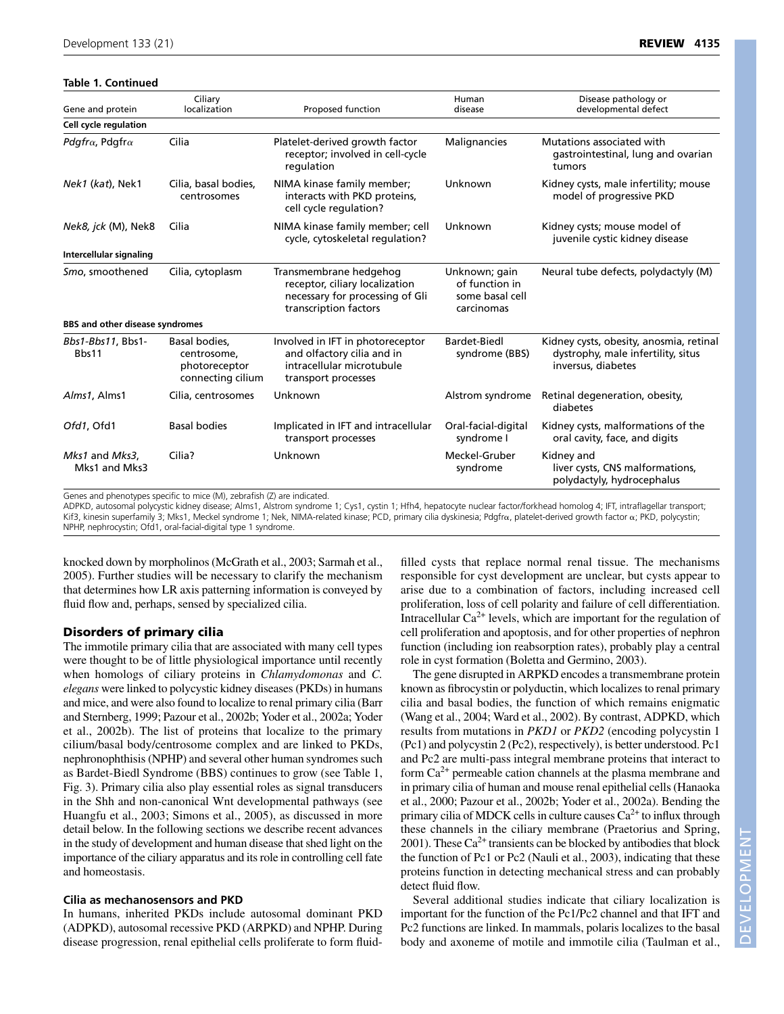### **Table 1. Continued**

| Gene and protein                       | Ciliary<br>localization                                            | Proposed function                                                                                                    | Human<br>disease                                                 | Disease pathology or<br>developmental defect                                                        |
|----------------------------------------|--------------------------------------------------------------------|----------------------------------------------------------------------------------------------------------------------|------------------------------------------------------------------|-----------------------------------------------------------------------------------------------------|
| Cell cycle regulation                  |                                                                    |                                                                                                                      |                                                                  |                                                                                                     |
| Pdgfra, Pdgfra                         | Cilia                                                              | Platelet-derived growth factor<br>receptor; involved in cell-cycle<br>regulation                                     | Malignancies                                                     | Mutations associated with<br>gastrointestinal, lung and ovarian<br>tumors                           |
| Nek1 (kat), Nek1                       | Cilia, basal bodies,<br>centrosomes                                | NIMA kinase family member;<br>interacts with PKD proteins,<br>cell cycle regulation?                                 | Unknown                                                          | Kidney cysts, male infertility; mouse<br>model of progressive PKD                                   |
| Nek8, jck (M), Nek8                    | Cilia                                                              | NIMA kinase family member; cell<br>cycle, cytoskeletal regulation?                                                   | Unknown                                                          | Kidney cysts; mouse model of<br>juvenile cystic kidney disease                                      |
| Intercellular signaling                |                                                                    |                                                                                                                      |                                                                  |                                                                                                     |
| Smo, smoothened                        | Cilia, cytoplasm                                                   | Transmembrane hedgehog<br>receptor, ciliary localization<br>necessary for processing of Gli<br>transcription factors | Unknown; gain<br>of function in<br>some basal cell<br>carcinomas | Neural tube defects, polydactyly (M)                                                                |
| <b>BBS</b> and other disease syndromes |                                                                    |                                                                                                                      |                                                                  |                                                                                                     |
| Bbs1-Bbs11, Bbs1-<br>Bbs11             | Basal bodies.<br>centrosome,<br>photoreceptor<br>connecting cilium | Involved in IFT in photoreceptor<br>and olfactory cilia and in<br>intracellular microtubule<br>transport processes   | Bardet-Biedl<br>syndrome (BBS)                                   | Kidney cysts, obesity, anosmia, retinal<br>dystrophy, male infertility, situs<br>inversus, diabetes |
| Alms1, Alms1                           | Cilia, centrosomes                                                 | Unknown                                                                                                              | Alstrom syndrome                                                 | Retinal degeneration, obesity,<br>diabetes                                                          |
| Ofd1, Ofd1                             | <b>Basal bodies</b>                                                | Implicated in IFT and intracellular<br>transport processes                                                           | Oral-facial-digital<br>syndrome I                                | Kidney cysts, malformations of the<br>oral cavity, face, and digits                                 |
| Mks1 and Mks3.<br>Mks1 and Mks3        | Cilia?                                                             | Unknown                                                                                                              | Meckel-Gruber<br>syndrome                                        | Kidney and<br>liver cysts, CNS malformations,<br>polydactyly, hydrocephalus                         |

Genes and phenotypes specific to mice (M), zebrafish (Z) are indicated.

ADPKD, autosomal polycystic kidney disease; Alms1, Alstrom syndrome 1; Cys1, cystin 1; Hfh4, hepatocyte nuclear factor/forkhead homolog 4; IFT, intraflagellar transport; Kif3, kinesin superfamily 3; Mks1, Meckel syndrome 1; Nek, NIMA-related kinase; PCD, primary cilia dyskinesia; Pdgfr&, platelet-derived growth factor &; PKD, polycystin; NPHP, nephrocystin; Ofd1, oral-facial-digital type 1 syndrome.

knocked down by morpholinos (McGrath et al., 2003; Sarmah et al., 2005). Further studies will be necessary to clarify the mechanism that determines how LR axis patterning information is conveyed by fluid flow and, perhaps, sensed by specialized cilia.

#### **Disorders of primary cilia**

The immotile primary cilia that are associated with many cell types were thought to be of little physiological importance until recently when homologs of ciliary proteins in *Chlamydomonas* and *C. elegans* were linked to polycystic kidney diseases (PKDs) in humans and mice, and were also found to localize to renal primary cilia (Barr and Sternberg, 1999; Pazour et al., 2002b; Yoder et al., 2002a; Yoder et al., 2002b). The list of proteins that localize to the primary cilium/basal body/centrosome complex and are linked to PKDs, nephronophthisis (NPHP) and several other human syndromes such as Bardet-Biedl Syndrome (BBS) continues to grow (see Table 1, Fig. 3). Primary cilia also play essential roles as signal transducers in the Shh and non-canonical Wnt developmental pathways (see Huangfu et al., 2003; Simons et al., 2005), as discussed in more detail below. In the following sections we describe recent advances in the study of development and human disease that shed light on the importance of the ciliary apparatus and its role in controlling cell fate and homeostasis.

### **Cilia as mechanosensors and PKD**

In humans, inherited PKDs include autosomal dominant PKD (ADPKD), autosomal recessive PKD (ARPKD) and NPHP. During disease progression, renal epithelial cells proliferate to form fluidfilled cysts that replace normal renal tissue. The mechanisms responsible for cyst development are unclear, but cysts appear to arise due to a combination of factors, including increased cell proliferation, loss of cell polarity and failure of cell differentiation. Intracellular  $Ca^{2+}$  levels, which are important for the regulation of cell proliferation and apoptosis, and for other properties of nephron function (including ion reabsorption rates), probably play a central role in cyst formation (Boletta and Germino, 2003).

The gene disrupted in ARPKD encodes a transmembrane protein known as fibrocystin or polyductin, which localizes to renal primary cilia and basal bodies, the function of which remains enigmatic (Wang et al., 2004; Ward et al., 2002). By contrast, ADPKD, which results from mutations in *PKD1* or *PKD2* (encoding polycystin 1 (Pc1) and polycystin 2 (Pc2), respectively), is better understood. Pc1 and Pc2 are multi-pass integral membrane proteins that interact to form  $Ca^{2+}$  permeable cation channels at the plasma membrane and in primary cilia of human and mouse renal epithelial cells (Hanaoka et al., 2000; Pazour et al., 2002b; Yoder et al., 2002a). Bending the primary cilia of MDCK cells in culture causes  $Ca^{2+}$  to influx through these channels in the ciliary membrane (Praetorius and Spring, 2001). These  $Ca^{2+}$  transients can be blocked by antibodies that block the function of Pc1 or Pc2 (Nauli et al., 2003), indicating that these proteins function in detecting mechanical stress and can probably detect fluid flow.

Several additional studies indicate that ciliary localization is important for the function of the Pc1/Pc2 channel and that IFT and Pc2 functions are linked. In mammals, polaris localizes to the basal body and axoneme of motile and immotile cilia (Taulman et al.,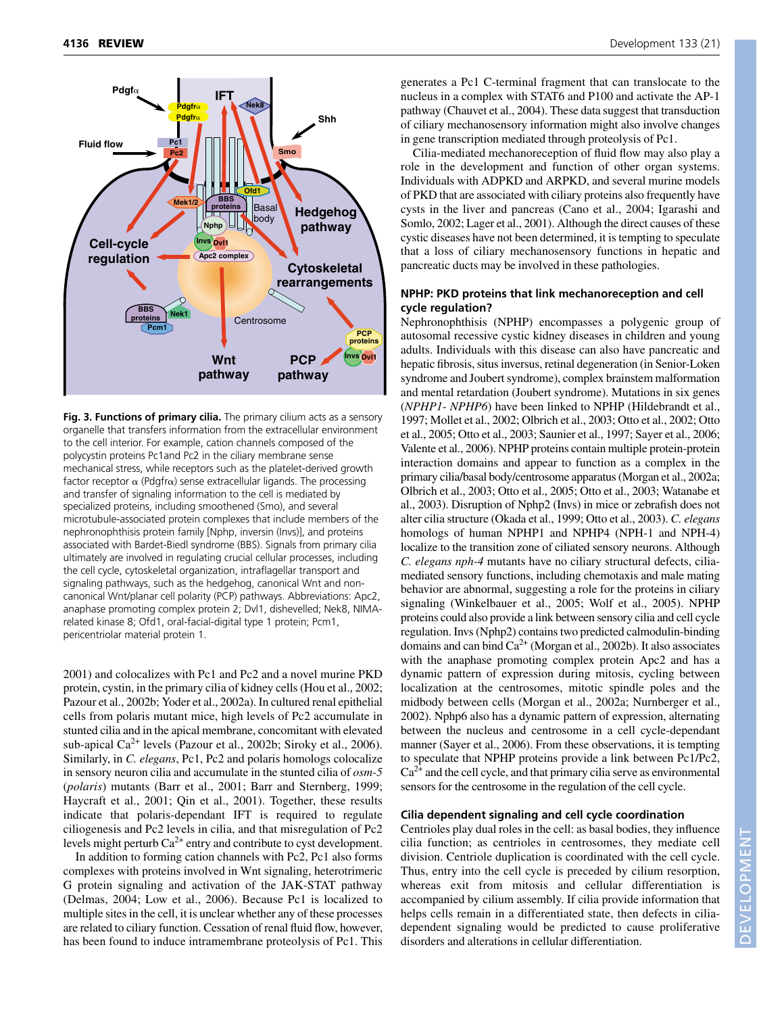

**Fig. 3. Functions of primary cilia.** The primary cilium acts as a sensory organelle that transfers information from the extracellular environment to the cell interior. For example, cation channels composed of the polycystin proteins Pc1and Pc2 in the ciliary membrane sense mechanical stress, while receptors such as the platelet-derived growth factor receptor  $\alpha$  (Pdgfr $\alpha$ ) sense extracellular ligands. The processing and transfer of signaling information to the cell is mediated by specialized proteins, including smoothened (Smo), and several microtubule-associated protein complexes that include members of the nephronophthisis protein family [Nphp, inversin (Invs)], and proteins associated with Bardet-Biedl syndrome (BBS). Signals from primary cilia ultimately are involved in regulating crucial cellular processes, including the cell cycle, cytoskeletal organization, intraflagellar transport and signaling pathways, such as the hedgehog, canonical Wnt and noncanonical Wnt/planar cell polarity (PCP) pathways. Abbreviations: Apc2, anaphase promoting complex protein 2; Dvl1, dishevelled; Nek8, NIMArelated kinase 8; Ofd1, oral-facial-digital type 1 protein; Pcm1, pericentriolar material protein 1.

2001) and colocalizes with Pc1 and Pc2 and a novel murine PKD protein, cystin, in the primary cilia of kidney cells (Hou et al., 2002; Pazour et al., 2002b; Yoder et al., 2002a). In cultured renal epithelial cells from polaris mutant mice, high levels of Pc2 accumulate in stunted cilia and in the apical membrane, concomitant with elevated sub-apical Ca<sup>2+</sup> levels (Pazour et al., 2002b; Siroky et al., 2006). Similarly, in *C. elegans*, Pc1, Pc2 and polaris homologs colocalize in sensory neuron cilia and accumulate in the stunted cilia of *osm-5* (*polaris*) mutants (Barr et al., 2001; Barr and Sternberg, 1999; Haycraft et al., 2001; Qin et al., 2001). Together, these results indicate that polaris-dependant IFT is required to regulate ciliogenesis and Pc2 levels in cilia, and that misregulation of Pc2 levels might perturb  $Ca^{2+}$  entry and contribute to cyst development.

In addition to forming cation channels with Pc2, Pc1 also forms complexes with proteins involved in Wnt signaling, heterotrimeric G protein signaling and activation of the JAK-STAT pathway (Delmas, 2004; Low et al., 2006). Because Pc1 is localized to multiple sites in the cell, it is unclear whether any of these processes are related to ciliary function. Cessation of renal fluid flow, however, has been found to induce intramembrane proteolysis of Pc1. This generates a Pc1 C-terminal fragment that can translocate to the nucleus in a complex with STAT6 and P100 and activate the AP-1 pathway (Chauvet et al., 2004). These data suggest that transduction of ciliary mechanosensory information might also involve changes in gene transcription mediated through proteolysis of Pc1.

Cilia-mediated mechanoreception of fluid flow may also play a role in the development and function of other organ systems. Individuals with ADPKD and ARPKD, and several murine models of PKD that are associated with ciliary proteins also frequently have cysts in the liver and pancreas (Cano et al., 2004; Igarashi and Somlo, 2002; Lager et al., 2001). Although the direct causes of these cystic diseases have not been determined, it is tempting to speculate that a loss of ciliary mechanosensory functions in hepatic and pancreatic ducts may be involved in these pathologies.

### **NPHP: PKD proteins that link mechanoreception and cell cycle regulation?**

Nephronophthisis (NPHP) encompasses a polygenic group of autosomal recessive cystic kidney diseases in children and young adults. Individuals with this disease can also have pancreatic and hepatic fibrosis, situs inversus, retinal degeneration (in Senior-Loken syndrome and Joubert syndrome), complex brainstem malformation and mental retardation (Joubert syndrome). Mutations in six genes (*NPHP1*- *NPHP6*) have been linked to NPHP (Hildebrandt et al., 1997; Mollet et al., 2002; Olbrich et al., 2003; Otto et al., 2002; Otto et al., 2005; Otto et al., 2003; Saunier et al., 1997; Sayer et al., 2006; Valente et al., 2006). NPHP proteins contain multiple protein-protein interaction domains and appear to function as a complex in the primary cilia/basal body/centrosome apparatus (Morgan et al., 2002a; Olbrich et al., 2003; Otto et al., 2005; Otto et al., 2003; Watanabe et al., 2003). Disruption of Nphp2 (Invs) in mice or zebrafish does not alter cilia structure (Okada et al., 1999; Otto et al., 2003). *C. elegans* homologs of human NPHP1 and NPHP4 (NPH-1 and NPH-4) localize to the transition zone of ciliated sensory neurons. Although *C. elegans nph-4* mutants have no ciliary structural defects, ciliamediated sensory functions, including chemotaxis and male mating behavior are abnormal, suggesting a role for the proteins in ciliary signaling (Winkelbauer et al., 2005; Wolf et al., 2005). NPHP proteins could also provide a link between sensory cilia and cell cycle regulation. Invs (Nphp2) contains two predicted calmodulin-binding domains and can bind  $Ca^{2+}$  (Morgan et al., 2002b). It also associates with the anaphase promoting complex protein Apc2 and has a dynamic pattern of expression during mitosis, cycling between localization at the centrosomes, mitotic spindle poles and the midbody between cells (Morgan et al., 2002a; Nurnberger et al., 2002). Nphp6 also has a dynamic pattern of expression, alternating between the nucleus and centrosome in a cell cycle-dependant manner (Sayer et al., 2006). From these observations, it is tempting to speculate that NPHP proteins provide a link between Pc1/Pc2,  $Ca<sup>2+</sup>$  and the cell cycle, and that primary cilia serve as environmental sensors for the centrosome in the regulation of the cell cycle.

# **Cilia dependent signaling and cell cycle coordination**

Centrioles play dual roles in the cell: as basal bodies, they influence cilia function; as centrioles in centrosomes, they mediate cell division. Centriole duplication is coordinated with the cell cycle. Thus, entry into the cell cycle is preceded by cilium resorption, whereas exit from mitosis and cellular differentiation is accompanied by cilium assembly. If cilia provide information that helps cells remain in a differentiated state, then defects in ciliadependent signaling would be predicted to cause proliferative disorders and alterations in cellular differentiation.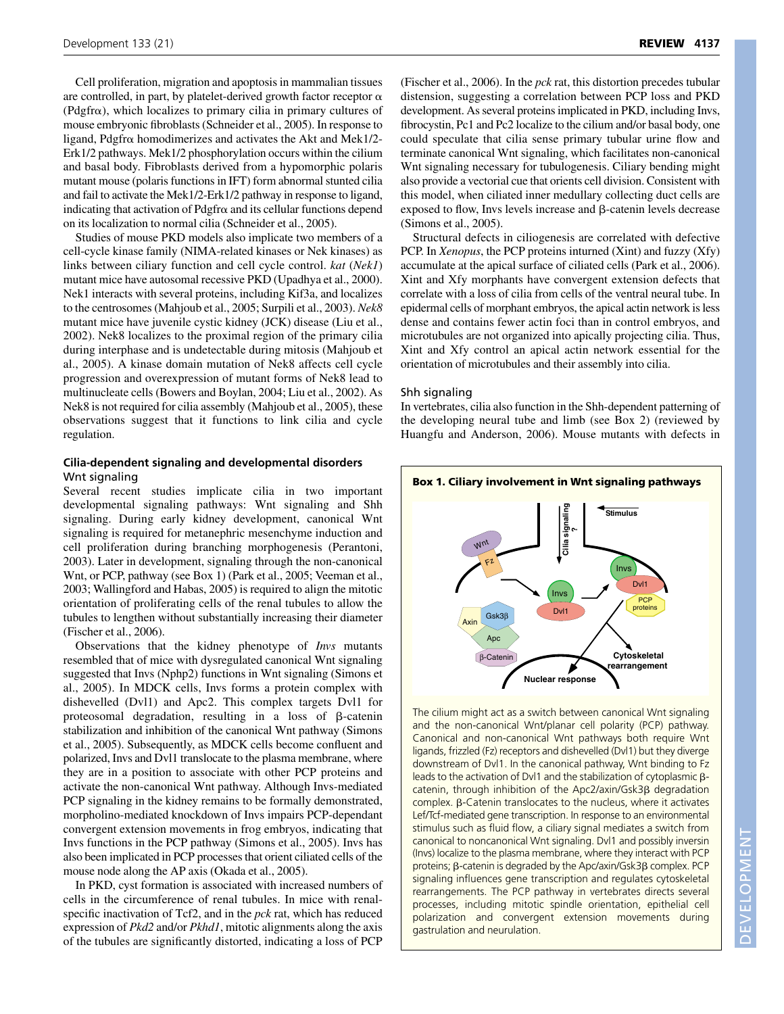Cell proliferation, migration and apoptosis in mammalian tissues are controlled, in part, by platelet-derived growth factor receptor  $\alpha$  $(Pdgfræ)$ , which localizes to primary cilia in primary cultures of mouse embryonic fibroblasts (Schneider et al., 2005). In response to ligand, Pdgfr $\alpha$  homodimerizes and activates the Akt and Mek1/2-Erk1/2 pathways. Mek1/2 phosphorylation occurs within the cilium and basal body. Fibroblasts derived from a hypomorphic polaris mutant mouse (polaris functions in IFT) form abnormal stunted cilia and fail to activate the Mek1/2-Erk1/2 pathway in response to ligand, indicating that activation of  $Pdgfr\alpha$  and its cellular functions depend on its localization to normal cilia (Schneider et al., 2005).

Studies of mouse PKD models also implicate two members of a cell-cycle kinase family (NIMA-related kinases or Nek kinases) as links between ciliary function and cell cycle control. *kat* (*Nek1*) mutant mice have autosomal recessive PKD (Upadhya et al., 2000). Nek1 interacts with several proteins, including Kif3a, and localizes to the centrosomes (Mahjoub et al., 2005; Surpili et al., 2003). *Nek8* mutant mice have juvenile cystic kidney (JCK) disease (Liu et al., 2002). Nek8 localizes to the proximal region of the primary cilia during interphase and is undetectable during mitosis (Mahjoub et al., 2005). A kinase domain mutation of Nek8 affects cell cycle progression and overexpression of mutant forms of Nek8 lead to multinucleate cells (Bowers and Boylan, 2004; Liu et al., 2002). As Nek8 is not required for cilia assembly (Mahjoub et al., 2005), these observations suggest that it functions to link cilia and cycle regulation.

# **Cilia-dependent signaling and developmental disorders** Wnt signaling

Several recent studies implicate cilia in two important developmental signaling pathways: Wnt signaling and Shh signaling. During early kidney development, canonical Wnt signaling is required for metanephric mesenchyme induction and cell proliferation during branching morphogenesis (Perantoni, 2003). Later in development, signaling through the non-canonical Wnt, or PCP, pathway (see Box 1) (Park et al., 2005; Veeman et al., 2003; Wallingford and Habas, 2005) is required to align the mitotic orientation of proliferating cells of the renal tubules to allow the tubules to lengthen without substantially increasing their diameter (Fischer et al., 2006).

Observations that the kidney phenotype of *Invs* mutants resembled that of mice with dysregulated canonical Wnt signaling suggested that Invs (Nphp2) functions in Wnt signaling (Simons et al., 2005). In MDCK cells, Invs forms a protein complex with dishevelled (Dvl1) and Apc2. This complex targets Dvl1 for proteosomal degradation, resulting in a loss of  $\beta$ -catenin stabilization and inhibition of the canonical Wnt pathway (Simons et al., 2005). Subsequently, as MDCK cells become confluent and polarized, Invs and Dvl1 translocate to the plasma membrane, where they are in a position to associate with other PCP proteins and activate the non-canonical Wnt pathway. Although Invs-mediated PCP signaling in the kidney remains to be formally demonstrated, morpholino-mediated knockdown of Invs impairs PCP-dependant convergent extension movements in frog embryos, indicating that Invs functions in the PCP pathway (Simons et al., 2005). Invs has also been implicated in PCP processes that orient ciliated cells of the mouse node along the AP axis (Okada et al., 2005).

In PKD, cyst formation is associated with increased numbers of cells in the circumference of renal tubules. In mice with renalspecific inactivation of Tcf2, and in the *pck* rat, which has reduced expression of *Pkd2* and/or *Pkhd1*, mitotic alignments along the axis of the tubules are significantly distorted, indicating a loss of PCP

(Fischer et al., 2006). In the *pck* rat, this distortion precedes tubular distension, suggesting a correlation between PCP loss and PKD development. As several proteins implicated in PKD, including Invs, fibrocystin, Pc1 and Pc2 localize to the cilium and/or basal body, one could speculate that cilia sense primary tubular urine flow and terminate canonical Wnt signaling, which facilitates non-canonical Wnt signaling necessary for tubulogenesis. Ciliary bending might also provide a vectorial cue that orients cell division. Consistent with this model, when ciliated inner medullary collecting duct cells are exposed to flow, Invs levels increase and  $\beta$ -catenin levels decrease (Simons et al., 2005).

Structural defects in ciliogenesis are correlated with defective PCP. In *Xenopus*, the PCP proteins inturned (Xint) and fuzzy (Xfy) accumulate at the apical surface of ciliated cells (Park et al., 2006). Xint and Xfy morphants have convergent extension defects that correlate with a loss of cilia from cells of the ventral neural tube. In epidermal cells of morphant embryos, the apical actin network is less dense and contains fewer actin foci than in control embryos, and microtubules are not organized into apically projecting cilia. Thus, Xint and Xfy control an apical actin network essential for the orientation of microtubules and their assembly into cilia.

#### Shh signaling

In vertebrates, cilia also function in the Shh-dependent patterning of the developing neural tube and limb (see Box 2) (reviewed by Huangfu and Anderson, 2006). Mouse mutants with defects in



The cilium might act as a switch between canonical Wnt signaling and the non-canonical Wnt/planar cell polarity (PCP) pathway. Canonical and non-canonical Wnt pathways both require Wnt ligands, frizzled (Fz) receptors and dishevelled (Dvl1) but they diverge downstream of Dvl1. In the canonical pathway, Wnt binding to Fz leads to the activation of Dvl1 and the stabilization of cytoplasmic  $\beta$  $c$ atenin, through inhibition of the Apc2/axin/Gsk3 $\beta$  degradation  $complex.$   $\beta$ -Catenin translocates to the nucleus, where it activates Lef/Tcf-mediated gene transcription. In response to an environmental stimulus such as fluid flow, a ciliary signal mediates a switch from canonical to noncanonical Wnt signaling. Dvl1 and possibly inversin (Invs) localize to the plasma membrane, where they interact with PCP proteins;  $\beta$ -catenin is degraded by the Apc/axin/Gsk3 $\beta$  complex. PCP signaling influences gene transcription and regulates cytoskeletal rearrangements. The PCP pathway in vertebrates directs several processes, including mitotic spindle orientation, epithelial cell polarization and convergent extension movements during gastrulation and neurulation.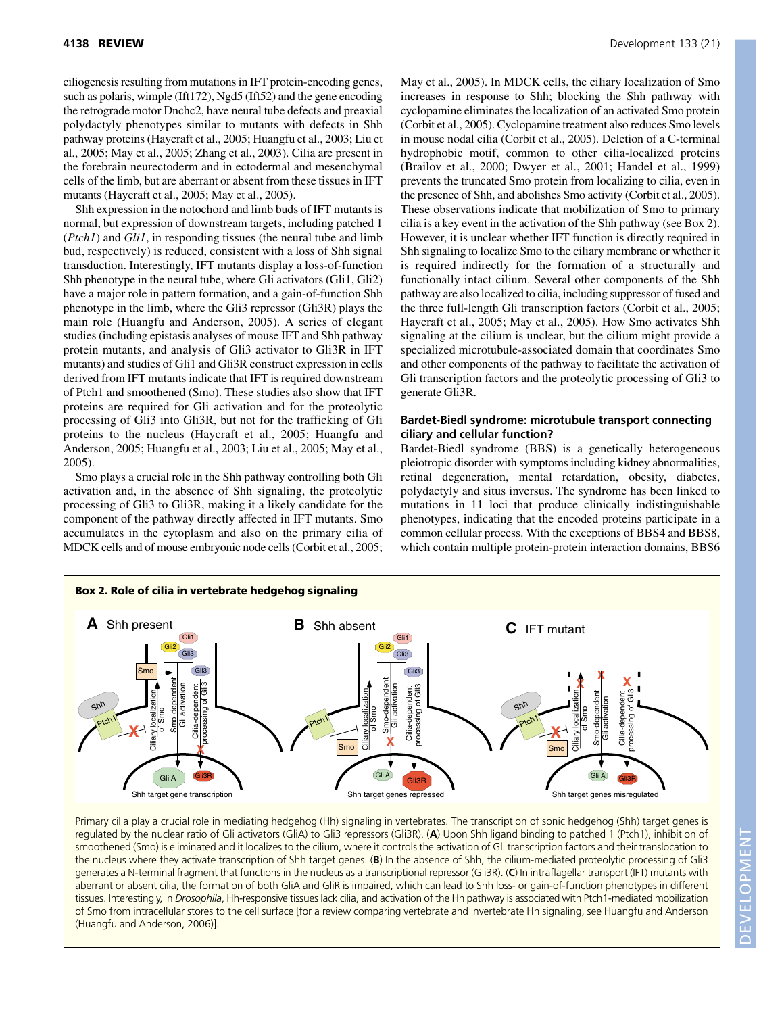ciliogenesis resulting from mutations in IFT protein-encoding genes, such as polaris, wimple (Ift172), Ngd5 (Ift52) and the gene encoding the retrograde motor Dnchc2, have neural tube defects and preaxial polydactyly phenotypes similar to mutants with defects in Shh pathway proteins (Haycraft et al., 2005; Huangfu et al., 2003; Liu et al., 2005; May et al., 2005; Zhang et al., 2003). Cilia are present in the forebrain neurectoderm and in ectodermal and mesenchymal cells of the limb, but are aberrant or absent from these tissues in IFT mutants (Haycraft et al., 2005; May et al., 2005).

Shh expression in the notochord and limb buds of IFT mutants is normal, but expression of downstream targets, including patched 1 (*Ptch1*) and *Gli1*, in responding tissues (the neural tube and limb bud, respectively) is reduced, consistent with a loss of Shh signal transduction. Interestingly, IFT mutants display a loss-of-function Shh phenotype in the neural tube, where Gli activators (Gli1, Gli2) have a major role in pattern formation, and a gain-of-function Shh phenotype in the limb, where the Gli3 repressor (Gli3R) plays the main role (Huangfu and Anderson, 2005). A series of elegant studies (including epistasis analyses of mouse IFT and Shh pathway protein mutants, and analysis of Gli3 activator to Gli3R in IFT mutants) and studies of Gli1 and Gli3R construct expression in cells derived from IFT mutants indicate that IFT is required downstream of Ptch1 and smoothened (Smo). These studies also show that IFT proteins are required for Gli activation and for the proteolytic processing of Gli3 into Gli3R, but not for the trafficking of Gli proteins to the nucleus (Haycraft et al., 2005; Huangfu and Anderson, 2005; Huangfu et al., 2003; Liu et al., 2005; May et al., 2005).

Smo plays a crucial role in the Shh pathway controlling both Gli activation and, in the absence of Shh signaling, the proteolytic processing of Gli3 to Gli3R, making it a likely candidate for the component of the pathway directly affected in IFT mutants. Smo accumulates in the cytoplasm and also on the primary cilia of MDCK cells and of mouse embryonic node cells (Corbit et al., 2005; May et al., 2005). In MDCK cells, the ciliary localization of Smo increases in response to Shh; blocking the Shh pathway with cyclopamine eliminates the localization of an activated Smo protein (Corbit et al., 2005). Cyclopamine treatment also reduces Smo levels in mouse nodal cilia (Corbit et al., 2005). Deletion of a C-terminal hydrophobic motif, common to other cilia-localized proteins (Brailov et al., 2000; Dwyer et al., 2001; Handel et al., 1999) prevents the truncated Smo protein from localizing to cilia, even in the presence of Shh, and abolishes Smo activity (Corbit et al., 2005). These observations indicate that mobilization of Smo to primary cilia is a key event in the activation of the Shh pathway (see Box 2). However, it is unclear whether IFT function is directly required in Shh signaling to localize Smo to the ciliary membrane or whether it is required indirectly for the formation of a structurally and functionally intact cilium. Several other components of the Shh pathway are also localized to cilia, including suppressor of fused and the three full-length Gli transcription factors (Corbit et al., 2005; Haycraft et al., 2005; May et al., 2005). How Smo activates Shh signaling at the cilium is unclear, but the cilium might provide a specialized microtubule-associated domain that coordinates Smo and other components of the pathway to facilitate the activation of Gli transcription factors and the proteolytic processing of Gli3 to generate Gli3R.

#### **Bardet-Biedl syndrome: microtubule transport connecting ciliary and cellular function?**

Bardet-Biedl syndrome (BBS) is a genetically heterogeneous pleiotropic disorder with symptoms including kidney abnormalities, retinal degeneration, mental retardation, obesity, diabetes, polydactyly and situs inversus. The syndrome has been linked to mutations in 11 loci that produce clinically indistinguishable phenotypes, indicating that the encoded proteins participate in a common cellular process. With the exceptions of BBS4 and BBS8, which contain multiple protein-protein interaction domains, BBS6



Primary cilia play a crucial role in mediating hedgehog (Hh) signaling in vertebrates. The transcription of sonic hedgehog (Shh) target genes is regulated by the nuclear ratio of Gli activators (GliA) to Gli3 repressors (Gli3R). (**A**) Upon Shh ligand binding to patched 1 (Ptch1), inhibition of smoothened (Smo) is eliminated and it localizes to the cilium, where it controls the activation of Gli transcription factors and their translocation to the nucleus where they activate transcription of Shh target genes. (**B**) In the absence of Shh, the cilium-mediated proteolytic processing of Gli3 generates a N-terminal fragment that functions in the nucleus as a transcriptional repressor (Gli3R). (**C**) In intraflagellar transport (IFT) mutants with aberrant or absent cilia, the formation of both GliA and GliR is impaired, which can lead to Shh loss- or gain-of-function phenotypes in different tissues. Interestingly, in *Drosophila*, Hh-responsive tissues lack cilia, and activation of the Hh pathway is associated with Ptch1-mediated mobilization of Smo from intracellular stores to the cell surface [for a review comparing vertebrate and invertebrate Hh signaling, see Huangfu and Anderson (Huangfu and Anderson, 2006)].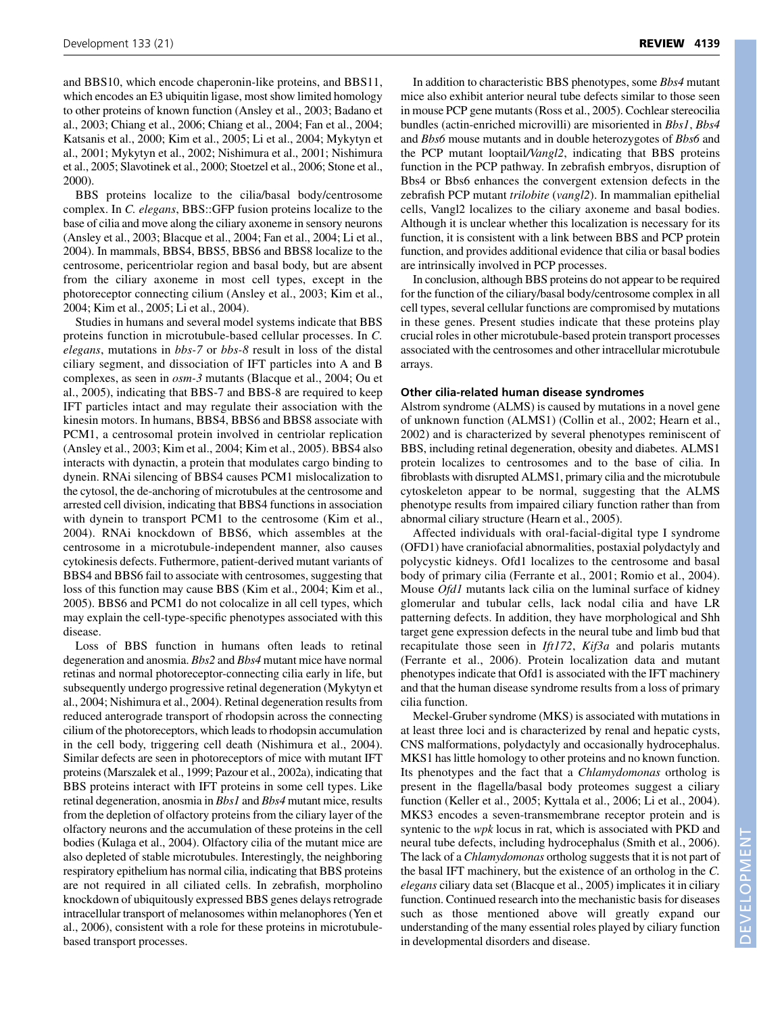and BBS10, which encode chaperonin-like proteins, and BBS11, which encodes an E3 ubiquitin ligase, most show limited homology to other proteins of known function (Ansley et al., 2003; Badano et al., 2003; Chiang et al., 2006; Chiang et al., 2004; Fan et al., 2004; Katsanis et al., 2000; Kim et al., 2005; Li et al., 2004; Mykytyn et al., 2001; Mykytyn et al., 2002; Nishimura et al., 2001; Nishimura et al., 2005; Slavotinek et al., 2000; Stoetzel et al., 2006; Stone et al., 2000).

BBS proteins localize to the cilia/basal body/centrosome complex. In *C. elegans*, BBS::GFP fusion proteins localize to the base of cilia and move along the ciliary axoneme in sensory neurons (Ansley et al., 2003; Blacque et al., 2004; Fan et al., 2004; Li et al., 2004). In mammals, BBS4, BBS5, BBS6 and BBS8 localize to the centrosome, pericentriolar region and basal body, but are absent from the ciliary axoneme in most cell types, except in the photoreceptor connecting cilium (Ansley et al., 2003; Kim et al., 2004; Kim et al., 2005; Li et al., 2004).

Studies in humans and several model systems indicate that BBS proteins function in microtubule-based cellular processes. In *C. elegans*, mutations in *bbs-7* or *bbs-8* result in loss of the distal ciliary segment, and dissociation of IFT particles into A and B complexes, as seen in *osm-3* mutants (Blacque et al., 2004; Ou et al., 2005), indicating that BBS-7 and BBS-8 are required to keep IFT particles intact and may regulate their association with the kinesin motors. In humans, BBS4, BBS6 and BBS8 associate with PCM1, a centrosomal protein involved in centriolar replication (Ansley et al., 2003; Kim et al., 2004; Kim et al., 2005). BBS4 also interacts with dynactin, a protein that modulates cargo binding to dynein. RNAi silencing of BBS4 causes PCM1 mislocalization to the cytosol, the de-anchoring of microtubules at the centrosome and arrested cell division, indicating that BBS4 functions in association with dynein to transport PCM1 to the centrosome (Kim et al., 2004). RNAi knockdown of BBS6, which assembles at the centrosome in a microtubule-independent manner, also causes cytokinesis defects. Futhermore, patient-derived mutant variants of BBS4 and BBS6 fail to associate with centrosomes, suggesting that loss of this function may cause BBS (Kim et al., 2004; Kim et al., 2005). BBS6 and PCM1 do not colocalize in all cell types, which may explain the cell-type-specific phenotypes associated with this disease.

Loss of BBS function in humans often leads to retinal degeneration and anosmia. *Bbs2* and *Bbs4* mutant mice have normal retinas and normal photoreceptor-connecting cilia early in life, but subsequently undergo progressive retinal degeneration (Mykytyn et al., 2004; Nishimura et al., 2004). Retinal degeneration results from reduced anterograde transport of rhodopsin across the connecting cilium of the photoreceptors, which leads to rhodopsin accumulation in the cell body, triggering cell death (Nishimura et al., 2004). Similar defects are seen in photoreceptors of mice with mutant IFT proteins (Marszalek et al., 1999; Pazour et al., 2002a), indicating that BBS proteins interact with IFT proteins in some cell types. Like retinal degeneration, anosmia in *Bbs1* and *Bbs4* mutant mice, results from the depletion of olfactory proteins from the ciliary layer of the olfactory neurons and the accumulation of these proteins in the cell bodies (Kulaga et al., 2004). Olfactory cilia of the mutant mice are also depleted of stable microtubules. Interestingly, the neighboring respiratory epithelium has normal cilia, indicating that BBS proteins are not required in all ciliated cells. In zebrafish, morpholino knockdown of ubiquitously expressed BBS genes delays retrograde intracellular transport of melanosomes within melanophores (Yen et al., 2006), consistent with a role for these proteins in microtubulebased transport processes.

In addition to characteristic BBS phenotypes, some *Bbs4* mutant mice also exhibit anterior neural tube defects similar to those seen in mouse PCP gene mutants (Ross et al., 2005). Cochlear stereocilia bundles (actin-enriched microvilli) are misoriented in *Bbs1*, *Bbs4* and *Bbs6* mouse mutants and in double heterozygotes of *Bbs6* and the PCP mutant looptail*/Vangl2*, indicating that BBS proteins function in the PCP pathway. In zebrafish embryos, disruption of Bbs4 or Bbs6 enhances the convergent extension defects in the zebrafish PCP mutant *trilobite* (*vangl2*). In mammalian epithelial cells, Vangl2 localizes to the ciliary axoneme and basal bodies. Although it is unclear whether this localization is necessary for its function, it is consistent with a link between BBS and PCP protein function, and provides additional evidence that cilia or basal bodies are intrinsically involved in PCP processes.

In conclusion, although BBS proteins do not appear to be required for the function of the ciliary/basal body/centrosome complex in all cell types, several cellular functions are compromised by mutations in these genes. Present studies indicate that these proteins play crucial roles in other microtubule-based protein transport processes associated with the centrosomes and other intracellular microtubule arrays.

#### **Other cilia-related human disease syndromes**

Alstrom syndrome (ALMS) is caused by mutations in a novel gene of unknown function (ALMS1) (Collin et al., 2002; Hearn et al., 2002) and is characterized by several phenotypes reminiscent of BBS, including retinal degeneration, obesity and diabetes. ALMS1 protein localizes to centrosomes and to the base of cilia. In fibroblasts with disrupted ALMS1, primary cilia and the microtubule cytoskeleton appear to be normal, suggesting that the ALMS phenotype results from impaired ciliary function rather than from abnormal ciliary structure (Hearn et al., 2005).

Affected individuals with oral-facial-digital type I syndrome (OFD1) have craniofacial abnormalities, postaxial polydactyly and polycystic kidneys. Ofd1 localizes to the centrosome and basal body of primary cilia (Ferrante et al., 2001; Romio et al., 2004). Mouse *Ofd1* mutants lack cilia on the luminal surface of kidney glomerular and tubular cells, lack nodal cilia and have LR patterning defects. In addition, they have morphological and Shh target gene expression defects in the neural tube and limb bud that recapitulate those seen in *Ift172*, *Kif3a* and polaris mutants (Ferrante et al., 2006). Protein localization data and mutant phenotypes indicate that Ofd1 is associated with the IFT machinery and that the human disease syndrome results from a loss of primary cilia function.

Meckel-Gruber syndrome (MKS) is associated with mutations in at least three loci and is characterized by renal and hepatic cysts, CNS malformations, polydactyly and occasionally hydrocephalus. MKS1 has little homology to other proteins and no known function. Its phenotypes and the fact that a *Chlamydomonas* ortholog is present in the flagella/basal body proteomes suggest a ciliary function (Keller et al., 2005; Kyttala et al., 2006; Li et al., 2004). MKS3 encodes a seven-transmembrane receptor protein and is syntenic to the *wpk* locus in rat, which is associated with PKD and neural tube defects, including hydrocephalus (Smith et al., 2006). The lack of a *Chlamydomonas* ortholog suggests that it is not part of the basal IFT machinery, but the existence of an ortholog in the *C. elegans* ciliary data set (Blacque et al., 2005) implicates it in ciliary function. Continued research into the mechanistic basis for diseases such as those mentioned above will greatly expand our understanding of the many essential roles played by ciliary function in developmental disorders and disease.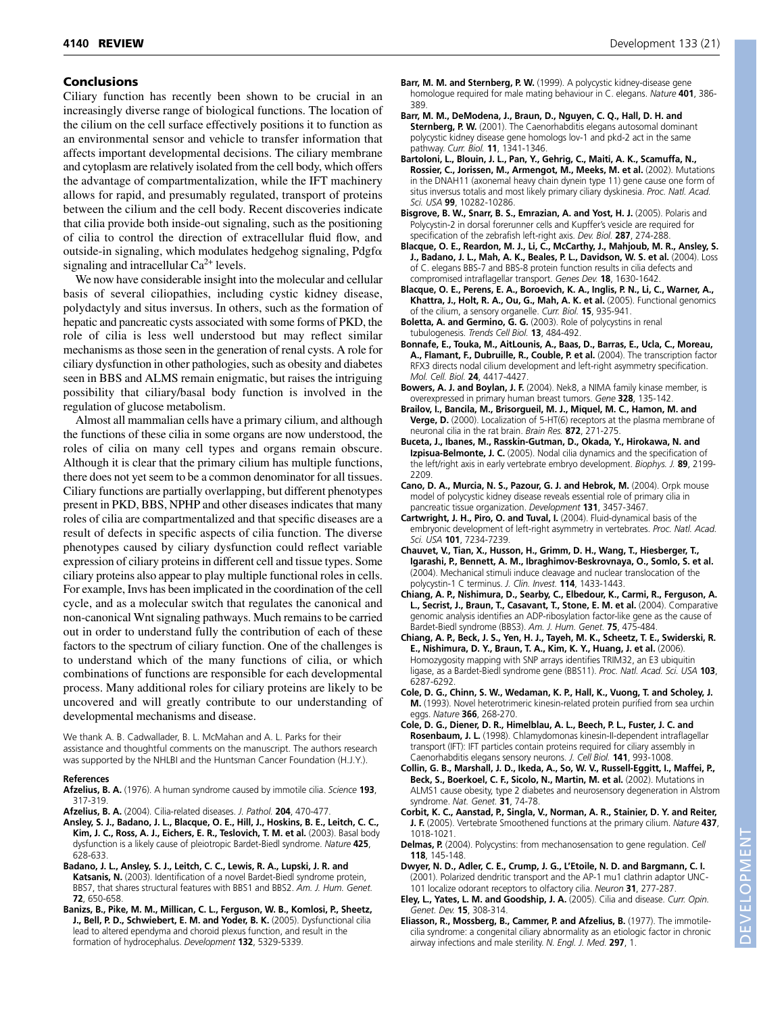### **Conclusions**

Ciliary function has recently been shown to be crucial in an increasingly diverse range of biological functions. The location of the cilium on the cell surface effectively positions it to function as an environmental sensor and vehicle to transfer information that affects important developmental decisions. The ciliary membrane and cytoplasm are relatively isolated from the cell body, which offers the advantage of compartmentalization, while the IFT machinery allows for rapid, and presumably regulated, transport of proteins between the cilium and the cell body. Recent discoveries indicate that cilia provide both inside-out signaling, such as the positioning of cilia to control the direction of extracellular fluid flow, and outside-in signaling, which modulates hedgehog signaling,  $Pdgf\alpha$ signaling and intracellular  $Ca^{2+}$  levels.

We now have considerable insight into the molecular and cellular basis of several ciliopathies, including cystic kidney disease, polydactyly and situs inversus. In others, such as the formation of hepatic and pancreatic cysts associated with some forms of PKD, the role of cilia is less well understood but may reflect similar mechanisms as those seen in the generation of renal cysts. A role for ciliary dysfunction in other pathologies, such as obesity and diabetes seen in BBS and ALMS remain enigmatic, but raises the intriguing possibility that ciliary/basal body function is involved in the regulation of glucose metabolism.

Almost all mammalian cells have a primary cilium, and although the functions of these cilia in some organs are now understood, the roles of cilia on many cell types and organs remain obscure. Although it is clear that the primary cilium has multiple functions, there does not yet seem to be a common denominator for all tissues. Ciliary functions are partially overlapping, but different phenotypes present in PKD, BBS, NPHP and other diseases indicates that many roles of cilia are compartmentalized and that specific diseases are a result of defects in specific aspects of cilia function. The diverse phenotypes caused by ciliary dysfunction could reflect variable expression of ciliary proteins in different cell and tissue types. Some ciliary proteins also appear to play multiple functional roles in cells. For example, Invs has been implicated in the coordination of the cell cycle, and as a molecular switch that regulates the canonical and non-canonical Wnt signaling pathways. Much remains to be carried out in order to understand fully the contribution of each of these factors to the spectrum of ciliary function. One of the challenges is to understand which of the many functions of cilia, or which combinations of functions are responsible for each developmental process. Many additional roles for ciliary proteins are likely to be uncovered and will greatly contribute to our understanding of developmental mechanisms and disease.

We thank A. B. Cadwallader, B. L. McMahan and A. L. Parks for their assistance and thoughtful comments on the manuscript. The authors research was supported by the NHLBI and the Huntsman Cancer Foundation (H.J.Y.).

#### **References**

- **Afzelius, B. A.** (1976). A human syndrome caused by immotile cilia. *Science* **193**, 317-319.
- **Afzelius, B. A.** (2004). Cilia-related diseases. *J. Pathol.* **204**, 470-477.
- **Ansley, S. J., Badano, J. L., Blacque, O. E., Hill, J., Hoskins, B. E., Leitch, C. C., Kim, J. C., Ross, A. J., Eichers, E. R., Teslovich, T. M. et al.** (2003). Basal body dysfunction is a likely cause of pleiotropic Bardet-Biedl syndrome. *Nature* **425**, 628-633.
- **Badano, J. L., Ansley, S. J., Leitch, C. C., Lewis, R. A., Lupski, J. R. and Katsanis, N.** (2003). Identification of a novel Bardet-Biedl syndrome protein, BBS7, that shares structural features with BBS1 and BBS2. *Am. J. Hum. Genet.* **72**, 650-658.
- **Banizs, B., Pike, M. M., Millican, C. L., Ferguson, W. B., Komlosi, P., Sheetz, J., Bell, P. D., Schwiebert, E. M. and Yoder, B. K.** (2005). Dysfunctional cilia lead to altered ependyma and choroid plexus function, and result in the formation of hydrocephalus. *Development* **132**, 5329-5339.
- **Barr, M. M. and Sternberg, P. W.** (1999). A polycystic kidney-disease gene homologue required for male mating behaviour in C. elegans. *Nature* **401**, 386- 389.
- **Barr, M. M., DeModena, J., Braun, D., Nguyen, C. Q., Hall, D. H. and Sternberg, P. W.** (2001). The Caenorhabditis elegans autosomal dominant polycystic kidney disease gene homologs lov-1 and pkd-2 act in the same pathway. *Curr. Biol.* **11**, 1341-1346.
- **Bartoloni, L., Blouin, J. L., Pan, Y., Gehrig, C., Maiti, A. K., Scamuffa, N., Rossier, C., Jorissen, M., Armengot, M., Meeks, M. et al.** (2002). Mutations in the DNAH11 (axonemal heavy chain dynein type 11) gene cause one form of situs inversus totalis and most likely primary ciliary dyskinesia. *Proc. Natl. Acad. Sci. USA* **99**, 10282-10286.
- **Bisgrove, B. W., Snarr, B. S., Emrazian, A. and Yost, H. J.** (2005). Polaris and Polycystin-2 in dorsal forerunner cells and Kupffer's vesicle are required for specification of the zebrafish left-right axis. *Dev. Biol.* **287**, 274-288.
- **Blacque, O. E., Reardon, M. J., Li, C., McCarthy, J., Mahjoub, M. R., Ansley, S. J., Badano, J. L., Mah, A. K., Beales, P. L., Davidson, W. S. et al.** (2004). Loss of C. elegans BBS-7 and BBS-8 protein function results in cilia defects and compromised intraflagellar transport. *Genes Dev.* **18**, 1630-1642.
- **Blacque, O. E., Perens, E. A., Boroevich, K. A., Inglis, P. N., Li, C., Warner, A., Khattra, J., Holt, R. A., Ou, G., Mah, A. K. et al.** (2005). Functional genomics of the cilium, a sensory organelle. *Curr. Biol.* **15**, 935-941.
- **Boletta, A. and Germino, G. G.** (2003). Role of polycystins in renal tubulogenesis. *Trends Cell Biol.* **13**, 484-492.
- **Bonnafe, E., Touka, M., AitLounis, A., Baas, D., Barras, E., Ucla, C., Moreau, A., Flamant, F., Dubruille, R., Couble, P. et al.** (2004). The transcription factor RFX3 directs nodal cilium development and left-right asymmetry specification. *Mol. Cell. Biol.* **24**, 4417-4427.
- **Bowers, A. J. and Boylan, J. F.** (2004). Nek8, a NIMA family kinase member, is overexpressed in primary human breast tumors. *Gene* **328**, 135-142.
- **Brailov, I., Bancila, M., Brisorgueil, M. J., Miquel, M. C., Hamon, M. and Verge, D.** (2000). Localization of 5-HT(6) receptors at the plasma membrane of neuronal cilia in the rat brain. *Brain Res.* **872**, 271-275.
- **Buceta, J., Ibanes, M., Rasskin-Gutman, D., Okada, Y., Hirokawa, N. and Izpisua-Belmonte, J. C.** (2005). Nodal cilia dynamics and the specification of the left/right axis in early vertebrate embryo development. *Biophys. J.* **89**, 2199- 2209.
- **Cano, D. A., Murcia, N. S., Pazour, G. J. and Hebrok, M.** (2004). Orpk mouse model of polycystic kidney disease reveals essential role of primary cilia in pancreatic tissue organization. *Development* **131**, 3457-3467.
- **Cartwright, J. H., Piro, O. and Tuval, I.** (2004). Fluid-dynamical basis of the embryonic development of left-right asymmetry in vertebrates. *Proc. Natl. Acad. Sci. USA* **101**, 7234-7239.
- **Chauvet, V., Tian, X., Husson, H., Grimm, D. H., Wang, T., Hiesberger, T., Igarashi, P., Bennett, A. M., Ibraghimov-Beskrovnaya, O., Somlo, S. et al.** (2004). Mechanical stimuli induce cleavage and nuclear translocation of the polycystin-1 C terminus. *J. Clin. Invest.* **114**, 1433-1443.
- **Chiang, A. P., Nishimura, D., Searby, C., Elbedour, K., Carmi, R., Ferguson, A. L., Secrist, J., Braun, T., Casavant, T., Stone, E. M. et al.** (2004). Comparative genomic analysis identifies an ADP-ribosylation factor-like gene as the cause of Bardet-Biedl syndrome (BBS3). *Am. J. Hum. Genet.* **75**, 475-484.
- **Chiang, A. P., Beck, J. S., Yen, H. J., Tayeh, M. K., Scheetz, T. E., Swiderski, R. E., Nishimura, D. Y., Braun, T. A., Kim, K. Y., Huang, J. et al.** (2006). Homozygosity mapping with SNP arrays identifies TRIM32, an E3 ubiquitin ligase, as a Bardet-Biedl syndrome gene (BBS11). *Proc. Natl. Acad. Sci. USA* **103**, 6287-6292.
- **Cole, D. G., Chinn, S. W., Wedaman, K. P., Hall, K., Vuong, T. and Scholey, J. M.** (1993). Novel heterotrimeric kinesin-related protein purified from sea urchin eggs. *Nature* **366**, 268-270.
- **Cole, D. G., Diener, D. R., Himelblau, A. L., Beech, P. L., Fuster, J. C. and Rosenbaum, J. L.** (1998). Chlamydomonas kinesin-II-dependent intraflagellar transport (IFT): IFT particles contain proteins required for ciliary assembly in Caenorhabditis elegans sensory neurons. *J. Cell Biol.* **141**, 993-1008.
- **Collin, G. B., Marshall, J. D., Ikeda, A., So, W. V., Russell-Eggitt, I., Maffei, P., Beck, S., Boerkoel, C. F., Sicolo, N., Martin, M. et al.** (2002). Mutations in ALMS1 cause obesity, type 2 diabetes and neurosensory degeneration in Alstrom syndrome. *Nat. Genet.* **31**, 74-78.
- **Corbit, K. C., Aanstad, P., Singla, V., Norman, A. R., Stainier, D. Y. and Reiter, J. F.** (2005). Vertebrate Smoothened functions at the primary cilium. *Nature* **437**, 1018-1021.
- **Delmas, P.** (2004). Polycystins: from mechanosensation to gene regulation. *Cell* **118**, 145-148.
- **Dwyer, N. D., Adler, C. E., Crump, J. G., L'Etoile, N. D. and Bargmann, C. I.** (2001). Polarized dendritic transport and the AP-1 mu1 clathrin adaptor UNC-101 localize odorant receptors to olfactory cilia. *Neuron* **31**, 277-287.
- **Eley, L., Yates, L. M. and Goodship, J. A.** (2005). Cilia and disease. *Curr. Opin. Genet. Dev.* **15**, 308-314.
- **Eliasson, R., Mossberg, B., Cammer, P. and Afzelius, B.** (1977). The immotilecilia syndrome: a congenital ciliary abnormality as an etiologic factor in chronic airway infections and male sterility. *N. Engl. J. Med.* **297**, 1.

T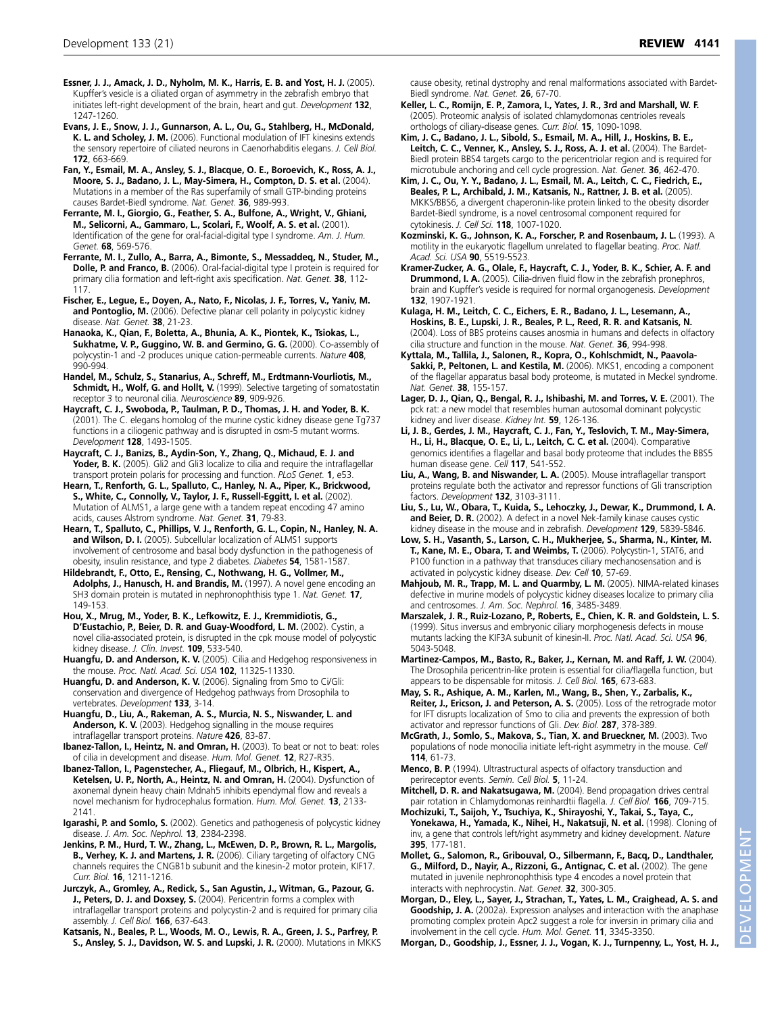**Essner, J. J., Amack, J. D., Nyholm, M. K., Harris, E. B. and Yost, H. J.** (2005). Kupffer's vesicle is a ciliated organ of asymmetry in the zebrafish embryo that initiates left-right development of the brain, heart and gut. *Development* **132**, 1247-1260.

**Evans, J. E., Snow, J. J., Gunnarson, A. L., Ou, G., Stahlberg, H., McDonald, K. L. and Scholey, J. M.** (2006). Functional modulation of IFT kinesins extends the sensory repertoire of ciliated neurons in Caenorhabditis elegans. *J. Cell Biol.* **172**, 663-669.

**Fan, Y., Esmail, M. A., Ansley, S. J., Blacque, O. E., Boroevich, K., Ross, A. J., Moore, S. J., Badano, J. L., May-Simera, H., Compton, D. S. et al.** (2004). Mutations in a member of the Ras superfamily of small GTP-binding proteins causes Bardet-Biedl syndrome. *Nat. Genet.* **36**, 989-993.

**Ferrante, M. I., Giorgio, G., Feather, S. A., Bulfone, A., Wright, V., Ghiani, M., Selicorni, A., Gammaro, L., Scolari, F., Woolf, A. S. et al.** (2001). Identification of the gene for oral-facial-digital type I syndrome. *Am. J. Hum. Genet.* **68**, 569-576.

**Ferrante, M. I., Zullo, A., Barra, A., Bimonte, S., Messaddeq, N., Studer, M., Dolle, P. and Franco, B.** (2006). Oral-facial-digital type I protein is required for primary cilia formation and left-right axis specification. *Nat. Genet.* **38**, 112- 117.

**Fischer, E., Legue, E., Doyen, A., Nato, F., Nicolas, J. F., Torres, V., Yaniv, M. and Pontoglio, M.** (2006). Defective planar cell polarity in polycystic kidney disease. *Nat. Genet.* **38**, 21-23.

**Hanaoka, K., Qian, F., Boletta, A., Bhunia, A. K., Piontek, K., Tsiokas, L., Sukhatme, V. P., Guggino, W. B. and Germino, G. G.** (2000). Co-assembly of polycystin-1 and -2 produces unique cation-permeable currents. *Nature* **408**, 990-994.

**Handel, M., Schulz, S., Stanarius, A., Schreff, M., Erdtmann-Vourliotis, M., Schmidt, H., Wolf, G. and Hollt, V.** (1999). Selective targeting of somatostatin receptor 3 to neuronal cilia. *Neuroscience* **89**, 909-926.

**Haycraft, C. J., Swoboda, P., Taulman, P. D., Thomas, J. H. and Yoder, B. K.** (2001). The C. elegans homolog of the murine cystic kidney disease gene Tg737 functions in a ciliogenic pathway and is disrupted in osm-5 mutant worms. *Development* **128**, 1493-1505.

**Haycraft, C. J., Banizs, B., Aydin-Son, Y., Zhang, Q., Michaud, E. J. and** Yoder, B. K. (2005). Gli2 and Gli3 localize to cilia and require the intraflagellar transport protein polaris for processing and function. *PLoS Genet.* **1**, e53.

**Hearn, T., Renforth, G. L., Spalluto, C., Hanley, N. A., Piper, K., Brickwood, S., White, C., Connolly, V., Taylor, J. F., Russell-Eggitt, I. et al.** (2002). Mutation of ALMS1, a large gene with a tandem repeat encoding 47 amino acids, causes Alstrom syndrome. *Nat. Genet.* **31**, 79-83.

**Hearn, T., Spalluto, C., Phillips, V. J., Renforth, G. L., Copin, N., Hanley, N. A. and Wilson, D. I.** (2005). Subcellular localization of ALMS1 supports involvement of centrosome and basal body dysfunction in the pathogenesis of obesity, insulin resistance, and type 2 diabetes. *Diabetes* **54**, 1581-1587.

**Hildebrandt, F., Otto, E., Rensing, C., Nothwang, H. G., Vollmer, M., Adolphs, J., Hanusch, H. and Brandis, M.** (1997). A novel gene encoding an SH3 domain protein is mutated in nephronophthisis type 1. *Nat. Genet.* **17**, 149-153.

**Hou, X., Mrug, M., Yoder, B. K., Lefkowitz, E. J., Kremmidiotis, G., D'Eustachio, P., Beier, D. R. and Guay-Woodford, L. M.** (2002). Cystin, a novel cilia-associated protein, is disrupted in the cpk mouse model of polycystic kidney disease. *J. Clin. Invest.* **109**, 533-540.

**Huangfu, D. and Anderson, K. V.** (2005). Cilia and Hedgehog responsiveness in the mouse. *Proc. Natl. Acad. Sci. USA* **102**, 11325-11330.

**Huangfu, D. and Anderson, K. V.** (2006). Signaling from Smo to Ci/Gli: conservation and divergence of Hedgehog pathways from Drosophila to vertebrates. *Development* **133**, 3-14.

**Huangfu, D., Liu, A., Rakeman, A. S., Murcia, N. S., Niswander, L. and Anderson, K. V.** (2003). Hedgehog signalling in the mouse requires intraflagellar transport proteins. *Nature* **426**, 83-87.

**Ibanez-Tallon, I., Heintz, N. and Omran, H.** (2003). To beat or not to beat: roles of cilia in development and disease. *Hum. Mol. Genet.* **12**, R27-R35.

**Ibanez-Tallon, I., Pagenstecher, A., Fliegauf, M., Olbrich, H., Kispert, A., Ketelsen, U. P., North, A., Heintz, N. and Omran, H.** (2004). Dysfunction of axonemal dynein heavy chain Mdnah5 inhibits ependymal flow and reveals a novel mechanism for hydrocephalus formation. *Hum. Mol. Genet.* **13**, 2133- 2141.

**Igarashi, P. and Somlo, S.** (2002). Genetics and pathogenesis of polycystic kidney disease. *J. Am. Soc. Nephrol.* **13**, 2384-2398.

**Jenkins, P. M., Hurd, T. W., Zhang, L., McEwen, D. P., Brown, R. L., Margolis, B., Verhey, K. J. and Martens, J. R.** (2006). Ciliary targeting of olfactory CNG channels requires the CNGB1b subunit and the kinesin-2 motor protein, KIF17. *Curr. Biol.* **16**, 1211-1216.

**Jurczyk, A., Gromley, A., Redick, S., San Agustin, J., Witman, G., Pazour, G. J., Peters, D. J. and Doxsey, S.** (2004). Pericentrin forms a complex with intraflagellar transport proteins and polycystin-2 and is required for primary cilia assembly. *J. Cell Biol.* **166**, 637-643.

**Katsanis, N., Beales, P. L., Woods, M. O., Lewis, R. A., Green, J. S., Parfrey, P. S., Ansley, S. J., Davidson, W. S. and Lupski, J. R.** (2000). Mutations in MKKS cause obesity, retinal dystrophy and renal malformations associated with Bardet-Biedl syndrome. *Nat. Genet.* **26**, 67-70.

**Keller, L. C., Romijn, E. P., Zamora, I., Yates, J. R., 3rd and Marshall, W. F.** (2005). Proteomic analysis of isolated chlamydomonas centrioles reveals orthologs of ciliary-disease genes. *Curr. Biol.* **15**, 1090-1098.

**Kim, J. C., Badano, J. L., Sibold, S., Esmail, M. A., Hill, J., Hoskins, B. E., Leitch, C. C., Venner, K., Ansley, S. J., Ross, A. J. et al.** (2004). The Bardet-Biedl protein BBS4 targets cargo to the pericentriolar region and is required for microtubule anchoring and cell cycle progression. *Nat. Genet.* **36**, 462-470.

**Kim, J. C., Ou, Y. Y., Badano, J. L., Esmail, M. A., Leitch, C. C., Fiedrich, E., Beales, P. L., Archibald, J. M., Katsanis, N., Rattner, J. B. et al.** (2005). MKKS/BBS6, a divergent chaperonin-like protein linked to the obesity disorder Bardet-Biedl syndrome, is a novel centrosomal component required for cytokinesis. *J. Cell Sci.* **118**, 1007-1020.

**Kozminski, K. G., Johnson, K. A., Forscher, P. and Rosenbaum, J. L.** (1993). A motility in the eukaryotic flagellum unrelated to flagellar beating. *Proc. Natl. Acad. Sci. USA* **90**, 5519-5523.

**Kramer-Zucker, A. G., Olale, F., Haycraft, C. J., Yoder, B. K., Schier, A. F. and Drummond, I. A.** (2005). Cilia-driven fluid flow in the zebrafish pronephros, brain and Kupffer's vesicle is required for normal organogenesis. *Development* **132**, 1907-1921.

**Kulaga, H. M., Leitch, C. C., Eichers, E. R., Badano, J. L., Lesemann, A., Hoskins, B. E., Lupski, J. R., Beales, P. L., Reed, R. R. and Katsanis, N.** (2004). Loss of BBS proteins causes anosmia in humans and defects in olfactory cilia structure and function in the mouse. *Nat. Genet.* **36**, 994-998.

**Kyttala, M., Tallila, J., Salonen, R., Kopra, O., Kohlschmidt, N., Paavola-Sakki, P., Peltonen, L. and Kestila, M.** (2006). MKS1, encoding a component of the flagellar apparatus basal body proteome, is mutated in Meckel syndrome. *Nat. Genet.* **38**, 155-157.

**Lager, D. J., Qian, Q., Bengal, R. J., Ishibashi, M. and Torres, V. E.** (2001). The pck rat: a new model that resembles human autosomal dominant polycystic kidney and liver disease. *Kidney Int.* **59**, 126-136.

**Li, J. B., Gerdes, J. M., Haycraft, C. J., Fan, Y., Teslovich, T. M., May-Simera, H., Li, H., Blacque, O. E., Li, L., Leitch, C. C. et al.** (2004). Comparative genomics identifies a flagellar and basal body proteome that includes the BBS5 human disease gene. *Cell* **117**, 541-552.

**Liu, A., Wang, B. and Niswander, L. A.** (2005). Mouse intraflagellar transport proteins regulate both the activator and repressor functions of Gli transcription factors. *Development* **132**, 3103-3111.

**Liu, S., Lu, W., Obara, T., Kuida, S., Lehoczky, J., Dewar, K., Drummond, I. A. and Beier, D. R.** (2002). A defect in a novel Nek-family kinase causes cystic kidney disease in the mouse and in zebrafish. *Development* **129**, 5839-5846.

**Low, S. H., Vasanth, S., Larson, C. H., Mukherjee, S., Sharma, N., Kinter, M. T., Kane, M. E., Obara, T. and Weimbs, T.** (2006). Polycystin-1, STAT6, and P100 function in a pathway that transduces ciliary mechanosensation and is activated in polycystic kidney disease. *Dev. Cell* **10**, 57-69.

**Mahjoub, M. R., Trapp, M. L. and Quarmby, L. M.** (2005). NIMA-related kinases defective in murine models of polycystic kidney diseases localize to primary cilia and centrosomes. *J. Am. Soc. Nephrol.* **16**, 3485-3489.

**Marszalek, J. R., Ruiz-Lozano, P., Roberts, E., Chien, K. R. and Goldstein, L. S.** (1999). Situs inversus and embryonic ciliary morphogenesis defects in mouse mutants lacking the KIF3A subunit of kinesin-II. *Proc. Natl. Acad. Sci. USA* **96**, 5043-5048.

**Martinez-Campos, M., Basto, R., Baker, J., Kernan, M. and Raff, J. W.** (2004). The Drosophila pericentrin-like protein is essential for cilia/flagella function, but appears to be dispensable for mitosis. *J. Cell Biol.* **165**, 673-683.

**May, S. R., Ashique, A. M., Karlen, M., Wang, B., Shen, Y., Zarbalis, K., Reiter, J., Ericson, J. and Peterson, A. S.** (2005). Loss of the retrograde motor for IFT disrupts localization of Smo to cilia and prevents the expression of both activator and repressor functions of Gli. *Dev. Biol.* **287**, 378-389.

**McGrath, J., Somlo, S., Makova, S., Tian, X. and Brueckner, M.** (2003). Two populations of node monocilia initiate left-right asymmetry in the mouse. *Cell* **114**, 61-73.

**Menco, B. P.** (1994). Ultrastructural aspects of olfactory transduction and perireceptor events. *Semin. Cell Biol.* **5**, 11-24.

**Mitchell, D. R. and Nakatsugawa, M.** (2004). Bend propagation drives central pair rotation in Chlamydomonas reinhardtii flagella. *J. Cell Biol.* **166**, 709-715.

**Mochizuki, T., Saijoh, Y., Tsuchiya, K., Shirayoshi, Y., Takai, S., Taya, C., Yonekawa, H., Yamada, K., Nihei, H., Nakatsuji, N. et al.** (1998). Cloning of inv, a gene that controls left/right asymmetry and kidney development. *Nature* **395**, 177-181.

**Mollet, G., Salomon, R., Gribouval, O., Silbermann, F., Bacq, D., Landthaler, G., Milford, D., Nayir, A., Rizzoni, G., Antignac, C. et al.** (2002). The gene mutated in juvenile nephronophthisis type 4 encodes a novel protein that interacts with nephrocystin. *Nat. Genet.* **32**, 300-305.

**Morgan, D., Eley, L., Sayer, J., Strachan, T., Yates, L. M., Craighead, A. S. and Goodship, J. A.** (2002a). Expression analyses and interaction with the anaphase promoting complex protein Apc2 suggest a role for inversin in primary cilia and involvement in the cell cycle. *Hum. Mol. Genet.* **11**, 3345-3350.

**Morgan, D., Goodship, J., Essner, J. J., Vogan, K. J., Turnpenny, L., Yost, H. J.,**

T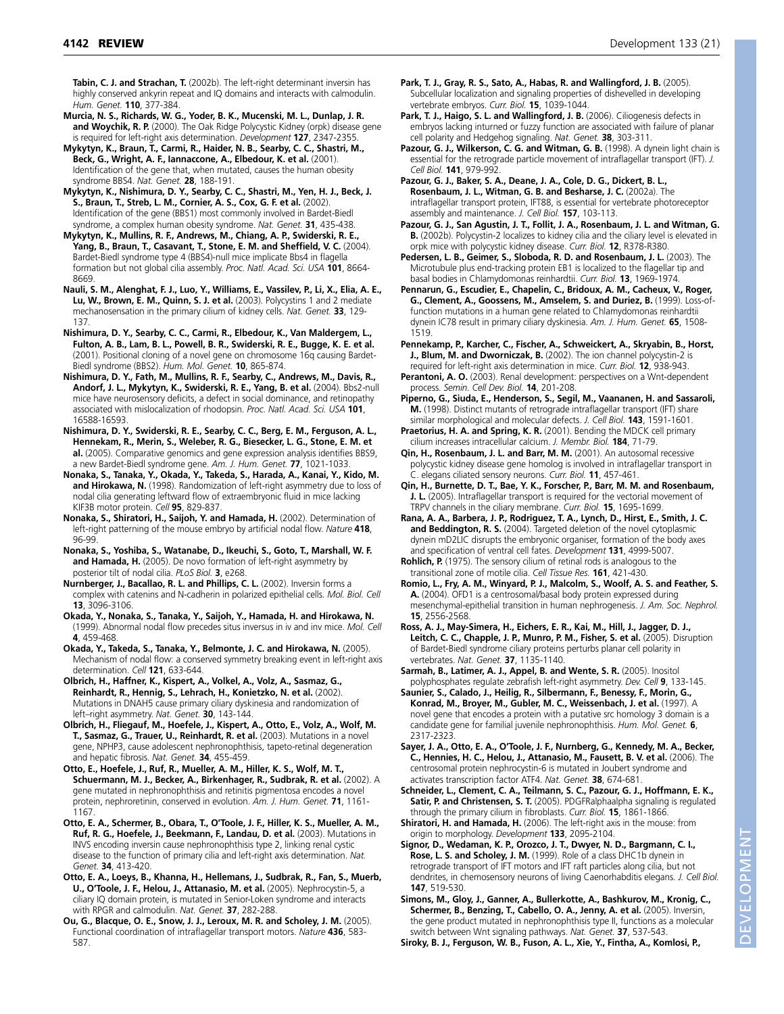**Tabin, C. J. and Strachan, T.** (2002b). The left-right determinant inversin has highly conserved ankyrin repeat and IQ domains and interacts with calmodulin. *Hum. Genet.* **110**, 377-384.

**Murcia, N. S., Richards, W. G., Yoder, B. K., Mucenski, M. L., Dunlap, J. R. and Woychik, R. P.** (2000). The Oak Ridge Polycystic Kidney (orpk) disease gene is required for left-right axis determination. *Development* **127**, 2347-2355.

**Mykytyn, K., Braun, T., Carmi, R., Haider, N. B., Searby, C. C., Shastri, M., Beck, G., Wright, A. F., Iannaccone, A., Elbedour, K. et al.** (2001). Identification of the gene that, when mutated, causes the human obesity syndrome BBS4. *Nat. Genet.* **28**, 188-191.

**Mykytyn, K., Nishimura, D. Y., Searby, C. C., Shastri, M., Yen, H. J., Beck, J. S., Braun, T., Streb, L. M., Cornier, A. S., Cox, G. F. et al.** (2002). Identification of the gene (BBS1) most commonly involved in Bardet-Biedl syndrome, a complex human obesity syndrome. *Nat. Genet.* **31**, 435-438.

**Mykytyn, K., Mullins, R. F., Andrews, M., Chiang, A. P., Swiderski, R. E., Yang, B., Braun, T., Casavant, T., Stone, E. M. and Sheffield, V. C.** (2004). Bardet-Biedl syndrome type 4 (BBS4)-null mice implicate Bbs4 in flagella formation but not global cilia assembly. *Proc. Natl. Acad. Sci. USA* **101**, 8664- 8669.

**Nauli, S. M., Alenghat, F. J., Luo, Y., Williams, E., Vassilev, P., Li, X., Elia, A. E., Lu, W., Brown, E. M., Quinn, S. J. et al.** (2003). Polycystins 1 and 2 mediate mechanosensation in the primary cilium of kidney cells. *Nat. Genet.* **33**, 129- 137.

**Nishimura, D. Y., Searby, C. C., Carmi, R., Elbedour, K., Van Maldergem, L., Fulton, A. B., Lam, B. L., Powell, B. R., Swiderski, R. E., Bugge, K. E. et al.** (2001). Positional cloning of a novel gene on chromosome 16q causing Bardet-Biedl syndrome (BBS2). *Hum. Mol. Genet.* **10**, 865-874.

**Nishimura, D. Y., Fath, M., Mullins, R. F., Searby, C., Andrews, M., Davis, R., Andorf, J. L., Mykytyn, K., Swiderski, R. E., Yang, B. et al.** (2004). Bbs2-null mice have neurosensory deficits, a defect in social dominance, and retinopathy associated with mislocalization of rhodopsin. *Proc. Natl. Acad. Sci. USA* **101**, 16588-16593.

**Nishimura, D. Y., Swiderski, R. E., Searby, C. C., Berg, E. M., Ferguson, A. L., Hennekam, R., Merin, S., Weleber, R. G., Biesecker, L. G., Stone, E. M. et al.** (2005). Comparative genomics and gene expression analysis identifies BBS9, a new Bardet-Biedl syndrome gene. *Am. J. Hum. Genet.* **77**, 1021-1033.

**Nonaka, S., Tanaka, Y., Okada, Y., Takeda, S., Harada, A., Kanai, Y., Kido, M. and Hirokawa, N.** (1998). Randomization of left-right asymmetry due to loss of nodal cilia generating leftward flow of extraembryonic fluid in mice lacking KIF3B motor protein. *Cell* **95**, 829-837.

**Nonaka, S., Shiratori, H., Saijoh, Y. and Hamada, H.** (2002). Determination of left-right patterning of the mouse embryo by artificial nodal flow. *Nature* **418**, 96-99.

**Nonaka, S., Yoshiba, S., Watanabe, D., Ikeuchi, S., Goto, T., Marshall, W. F. and Hamada, H.** (2005). De novo formation of left-right asymmetry by posterior tilt of nodal cilia. *PLoS Biol.* **3**, e268.

**Nurnberger, J., Bacallao, R. L. and Phillips, C. L.** (2002). Inversin forms a complex with catenins and N-cadherin in polarized epithelial cells. *Mol. Biol. Cell* **13**, 3096-3106.

**Okada, Y., Nonaka, S., Tanaka, Y., Saijoh, Y., Hamada, H. and Hirokawa, N.** (1999). Abnormal nodal flow precedes situs inversus in iv and inv mice. *Mol. Cell* **4**, 459-468.

**Okada, Y., Takeda, S., Tanaka, Y., Belmonte, J. C. and Hirokawa, N.** (2005). Mechanism of nodal flow: a conserved symmetry breaking event in left-right axis determination. *Cell* **121**, 633-644.

**Olbrich, H., Haffner, K., Kispert, A., Volkel, A., Volz, A., Sasmaz, G., Reinhardt, R., Hennig, S., Lehrach, H., Konietzko, N. et al.** (2002). Mutations in DNAH5 cause primary ciliary dyskinesia and randomization of left–right asymmetry. *Nat. Genet.* **30**, 143-144.

**Olbrich, H., Fliegauf, M., Hoefele, J., Kispert, A., Otto, E., Volz, A., Wolf, M. T., Sasmaz, G., Trauer, U., Reinhardt, R. et al.** (2003). Mutations in a novel gene, NPHP3, cause adolescent nephronophthisis, tapeto-retinal degeneration and hepatic fibrosis. *Nat. Genet.* **34**, 455-459.

**Otto, E., Hoefele, J., Ruf, R., Mueller, A. M., Hiller, K. S., Wolf, M. T., Schuermann, M. J., Becker, A., Birkenhager, R., Sudbrak, R. et al.** (2002). A gene mutated in nephronophthisis and retinitis pigmentosa encodes a novel protein, nephroretinin, conserved in evolution. *Am. J. Hum. Genet.* **71**, 1161- 1167.

**Otto, E. A., Schermer, B., Obara, T., O'Toole, J. F., Hiller, K. S., Mueller, A. M., Ruf, R. G., Hoefele, J., Beekmann, F., Landau, D. et al.** (2003). Mutations in INVS encoding inversin cause nephronophthisis type 2, linking renal cystic disease to the function of primary cilia and left-right axis determination. *Nat. Genet.* **34**, 413-420.

**Otto, E. A., Loeys, B., Khanna, H., Hellemans, J., Sudbrak, R., Fan, S., Muerb, U., O'Toole, J. F., Helou, J., Attanasio, M. et al.** (2005). Nephrocystin-5, a ciliary IQ domain protein, is mutated in Senior-Loken syndrome and interacts with RPGR and calmodulin. *Nat. Genet.* **37**, 282-288.

**Ou, G., Blacque, O. E., Snow, J. J., Leroux, M. R. and Scholey, J. M.** (2005). Functional coordination of intraflagellar transport motors. *Nature* **436**, 583- 587.

**Park, T. J., Gray, R. S., Sato, A., Habas, R. and Wallingford, J. B.** (2005). Subcellular localization and signaling properties of dishevelled in developing vertebrate embryos. *Curr. Biol.* **15**, 1039-1044.

Park, T. J., Haigo, S. L. and Wallingford, J. B. (2006). Ciliogenesis defects in embryos lacking inturned or fuzzy function are associated with failure of planar cell polarity and Hedgehog signaling. *Nat. Genet.* **38**, 303-311.

**Pazour, G. J., Wilkerson, C. G. and Witman, G. B.** (1998). A dynein light chain is essential for the retrograde particle movement of intraflagellar transport (IFT). *J. Cell Biol.* **141**, 979-992.

**Pazour, G. J., Baker, S. A., Deane, J. A., Cole, D. G., Dickert, B. L., Rosenbaum, J. L., Witman, G. B. and Besharse, J. C.** (2002a). The intraflagellar transport protein, IFT88, is essential for vertebrate photoreceptor assembly and maintenance. *J. Cell Biol.* **157**, 103-113.

**Pazour, G. J., San Agustin, J. T., Follit, J. A., Rosenbaum, J. L. and Witman, G. B.** (2002b). Polycystin-2 localizes to kidney cilia and the ciliary level is elevated in orpk mice with polycystic kidney disease. *Curr. Biol.* **12**, R378-R380.

**Pedersen, L. B., Geimer, S., Sloboda, R. D. and Rosenbaum, J. L.** (2003). The Microtubule plus end-tracking protein EB1 is localized to the flagellar tip and basal bodies in Chlamydomonas reinhardtii. *Curr. Biol.* **13**, 1969-1974.

**Pennarun, G., Escudier, E., Chapelin, C., Bridoux, A. M., Cacheux, V., Roger, G., Clement, A., Goossens, M., Amselem, S. and Duriez, B.** (1999). Loss-offunction mutations in a human gene related to Chlamydomonas reinhardtii dynein IC78 result in primary ciliary dyskinesia. *Am. J. Hum. Genet.* **65**, 1508- 1519.

**Pennekamp, P., Karcher, C., Fischer, A., Schweickert, A., Skryabin, B., Horst, J., Blum, M. and Dworniczak, B.** (2002). The ion channel polycystin-2 is required for left-right axis determination in mice. *Curr. Biol.* **12**, 938-943.

Perantoni, A. O. (2003). Renal development: perspectives on a Wnt-dependent process. *Semin. Cell Dev. Biol.* **14**, 201-208.

**Piperno, G., Siuda, E., Henderson, S., Segil, M., Vaananen, H. and Sassaroli, M.** (1998). Distinct mutants of retrograde intraflagellar transport (IFT) share similar morphological and molecular defects. *J. Cell Biol.* **143**, 1591-1601.

**Praetorius, H. A. and Spring, K. R.** (2001). Bending the MDCK cell primary cilium increases intracellular calcium. *J. Membr. Biol.* **184**, 71-79.

**Qin, H., Rosenbaum, J. L. and Barr, M. M.** (2001). An autosomal recessive polycystic kidney disease gene homolog is involved in intraflagellar transport in C. elegans ciliated sensory neurons. *Curr. Biol.* **11**, 457-461.

**Qin, H., Burnette, D. T., Bae, Y. K., Forscher, P., Barr, M. M. and Rosenbaum, J. L.** (2005). Intraflagellar transport is required for the vectorial movement of TRPV channels in the ciliary membrane. *Curr. Biol.* **15**, 1695-1699.

**Rana, A. A., Barbera, J. P., Rodriguez, T. A., Lynch, D., Hirst, E., Smith, J. C. and Beddington, R. S.** (2004). Targeted deletion of the novel cytoplasmic dynein mD2LIC disrupts the embryonic organiser, formation of the body axes and specification of ventral cell fates. *Development* **131**, 4999-5007.

**Rohlich, P.** (1975). The sensory cilium of retinal rods is analogous to the transitional zone of motile cilia. *Cell Tissue Res.* **161**, 421-430.

**Romio, L., Fry, A. M., Winyard, P. J., Malcolm, S., Woolf, A. S. and Feather, S. A.** (2004). OFD1 is a centrosomal/basal body protein expressed during mesenchymal-epithelial transition in human nephrogenesis. *J. Am. Soc. Nephrol.* **15**, 2556-2568.

**Ross, A. J., May-Simera, H., Eichers, E. R., Kai, M., Hill, J., Jagger, D. J., Leitch, C. C., Chapple, J. P., Munro, P. M., Fisher, S. et al.** (2005). Disruption of Bardet-Biedl syndrome ciliary proteins perturbs planar cell polarity in vertebrates. *Nat. Genet.* **37**, 1135-1140.

**Sarmah, B., Latimer, A. J., Appel, B. and Wente, S. R.** (2005). Inositol polyphosphates regulate zebrafish left-right asymmetry. *Dev. Cell* **9**, 133-145.

**Saunier, S., Calado, J., Heilig, R., Silbermann, F., Benessy, F., Morin, G., Konrad, M., Broyer, M., Gubler, M. C., Weissenbach, J. et al.** (1997). A novel gene that encodes a protein with a putative src homology 3 domain is a candidate gene for familial juvenile nephronophthisis. *Hum. Mol. Genet.* **6**, 2317-2323.

**Sayer, J. A., Otto, E. A., O'Toole, J. F., Nurnberg, G., Kennedy, M. A., Becker, C., Hennies, H. C., Helou, J., Attanasio, M., Fausett, B. V. et al.** (2006). The centrosomal protein nephrocystin-6 is mutated in Joubert syndrome and activates transcription factor ATF4. *Nat. Genet.* **38**, 674-681.

**Schneider, L., Clement, C. A., Teilmann, S. C., Pazour, G. J., Hoffmann, E. K., Satir, P. and Christensen, S. T.** (2005). PDGFRalphaalpha signaling is regulated through the primary cilium in fibroblasts. *Curr. Biol.* **15**, 1861-1866.

**Shiratori, H. and Hamada, H.** (2006). The left-right axis in the mouse: from origin to morphology. *Development* **133**, 2095-2104.

**Signor, D., Wedaman, K. P., Orozco, J. T., Dwyer, N. D., Bargmann, C. I., Rose, L. S. and Scholey, J. M.** (1999). Role of a class DHC1b dynein in retrograde transport of IFT motors and IFT raft particles along cilia, but not dendrites, in chemosensory neurons of living Caenorhabditis elegans. *J. Cell Biol.* **147**, 519-530.

**Simons, M., Gloy, J., Ganner, A., Bullerkotte, A., Bashkurov, M., Kronig, C., Schermer, B., Benzing, T., Cabello, O. A., Jenny, A. et al.** (2005). Inversin, the gene product mutated in nephronophthisis type II, functions as a molecular switch between Wnt signaling pathways. *Nat. Genet.* **37**, 537-543.

**Siroky, B. J., Ferguson, W. B., Fuson, A. L., Xie, Y., Fintha, A., Komlosi, P.,**

T